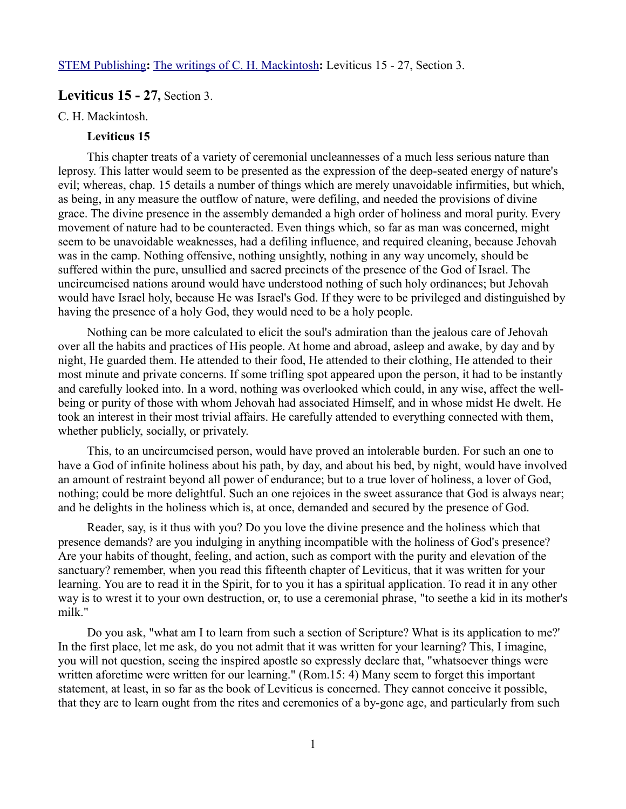# **Leviticus 15 - 27,** Section 3.

#### C. H. Mackintosh.

## **Leviticus 15**

This chapter treats of a variety of ceremonial uncleannesses of a much less serious nature than leprosy. This latter would seem to be presented as the expression of the deep-seated energy of nature's evil; whereas, chap. 15 details a number of things which are merely unavoidable infirmities, but which, as being, in any measure the outflow of nature, were defiling, and needed the provisions of divine grace. The divine presence in the assembly demanded a high order of holiness and moral purity. Every movement of nature had to be counteracted. Even things which, so far as man was concerned, might seem to be unavoidable weaknesses, had a defiling influence, and required cleaning, because Jehovah was in the camp. Nothing offensive, nothing unsightly, nothing in any way uncomely, should be suffered within the pure, unsullied and sacred precincts of the presence of the God of Israel. The uncircumcised nations around would have understood nothing of such holy ordinances; but Jehovah would have Israel holy, because He was Israel's God. If they were to be privileged and distinguished by having the presence of a holy God, they would need to be a holy people.

Nothing can be more calculated to elicit the soul's admiration than the jealous care of Jehovah over all the habits and practices of His people. At home and abroad, asleep and awake, by day and by night, He guarded them. He attended to their food, He attended to their clothing, He attended to their most minute and private concerns. If some trifling spot appeared upon the person, it had to be instantly and carefully looked into. In a word, nothing was overlooked which could, in any wise, affect the wellbeing or purity of those with whom Jehovah had associated Himself, and in whose midst He dwelt. He took an interest in their most trivial affairs. He carefully attended to everything connected with them, whether publicly, socially, or privately.

This, to an uncircumcised person, would have proved an intolerable burden. For such an one to have a God of infinite holiness about his path, by day, and about his bed, by night, would have involved an amount of restraint beyond all power of endurance; but to a true lover of holiness, a lover of God, nothing; could be more delightful. Such an one rejoices in the sweet assurance that God is always near; and he delights in the holiness which is, at once, demanded and secured by the presence of God.

Reader, say, is it thus with you? Do you love the divine presence and the holiness which that presence demands? are you indulging in anything incompatible with the holiness of God's presence? Are your habits of thought, feeling, and action, such as comport with the purity and elevation of the sanctuary? remember, when you read this fifteenth chapter of Leviticus, that it was written for your learning. You are to read it in the Spirit, for to you it has a spiritual application. To read it in any other way is to wrest it to your own destruction, or, to use a ceremonial phrase, "to seethe a kid in its mother's milk."

Do you ask, "what am I to learn from such a section of Scripture? What is its application to me?' In the first place, let me ask, do you not admit that it was written for your learning? This, I imagine, you will not question, seeing the inspired apostle so expressly declare that, "whatsoever things were written aforetime were written for our learning." (Rom.15: 4) Many seem to forget this important statement, at least, in so far as the book of Leviticus is concerned. They cannot conceive it possible, that they are to learn ought from the rites and ceremonies of a by-gone age, and particularly from such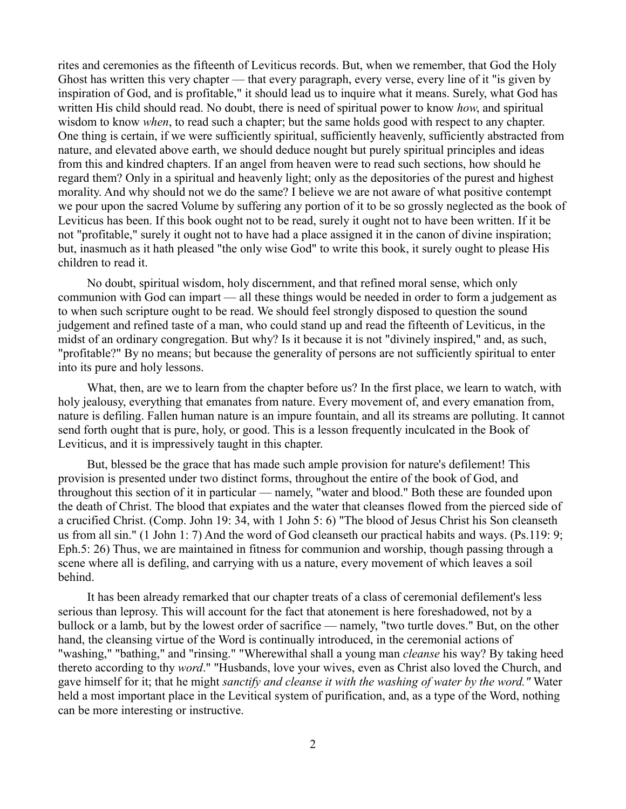rites and ceremonies as the fifteenth of Leviticus records. But, when we remember, that God the Holy Ghost has written this very chapter — that every paragraph, every verse, every line of it "is given by inspiration of God, and is profitable," it should lead us to inquire what it means. Surely, what God has written His child should read. No doubt, there is need of spiritual power to know *how*, and spiritual wisdom to know *when*, to read such a chapter; but the same holds good with respect to any chapter. One thing is certain, if we were sufficiently spiritual, sufficiently heavenly, sufficiently abstracted from nature, and elevated above earth, we should deduce nought but purely spiritual principles and ideas from this and kindred chapters. If an angel from heaven were to read such sections, how should he regard them? Only in a spiritual and heavenly light; only as the depositories of the purest and highest morality. And why should not we do the same? I believe we are not aware of what positive contempt we pour upon the sacred Volume by suffering any portion of it to be so grossly neglected as the book of Leviticus has been. If this book ought not to be read, surely it ought not to have been written. If it be not "profitable," surely it ought not to have had a place assigned it in the canon of divine inspiration; but, inasmuch as it hath pleased "the only wise God" to write this book, it surely ought to please His children to read it.

No doubt, spiritual wisdom, holy discernment, and that refined moral sense, which only communion with God can impart — all these things would be needed in order to form a judgement as to when such scripture ought to be read. We should feel strongly disposed to question the sound judgement and refined taste of a man, who could stand up and read the fifteenth of Leviticus, in the midst of an ordinary congregation. But why? Is it because it is not "divinely inspired," and, as such, "profitable?" By no means; but because the generality of persons are not sufficiently spiritual to enter into its pure and holy lessons.

What, then, are we to learn from the chapter before us? In the first place, we learn to watch, with holy jealousy, everything that emanates from nature. Every movement of, and every emanation from, nature is defiling. Fallen human nature is an impure fountain, and all its streams are polluting. It cannot send forth ought that is pure, holy, or good. This is a lesson frequently inculcated in the Book of Leviticus, and it is impressively taught in this chapter.

But, blessed be the grace that has made such ample provision for nature's defilement! This provision is presented under two distinct forms, throughout the entire of the book of God, and throughout this section of it in particular — namely, "water and blood." Both these are founded upon the death of Christ. The blood that expiates and the water that cleanses flowed from the pierced side of a crucified Christ. (Comp. John 19: 34, with 1 John 5: 6) "The blood of Jesus Christ his Son cleanseth us from all sin." (1 John 1: 7) And the word of God cleanseth our practical habits and ways. (Ps.119: 9; Eph.5: 26) Thus, we are maintained in fitness for communion and worship, though passing through a scene where all is defiling, and carrying with us a nature, every movement of which leaves a soil behind.

It has been already remarked that our chapter treats of a class of ceremonial defilement's less serious than leprosy. This will account for the fact that atonement is here foreshadowed, not by a bullock or a lamb, but by the lowest order of sacrifice — namely, "two turtle doves." But, on the other hand, the cleansing virtue of the Word is continually introduced, in the ceremonial actions of "washing," "bathing," and "rinsing." "Wherewithal shall a young man *cleanse* his way? By taking heed thereto according to thy *word*." "Husbands, love your wives, even as Christ also loved the Church, and gave himself for it; that he might *sanctify and cleanse it with the washing of water by the word."* Water held a most important place in the Levitical system of purification, and, as a type of the Word, nothing can be more interesting or instructive.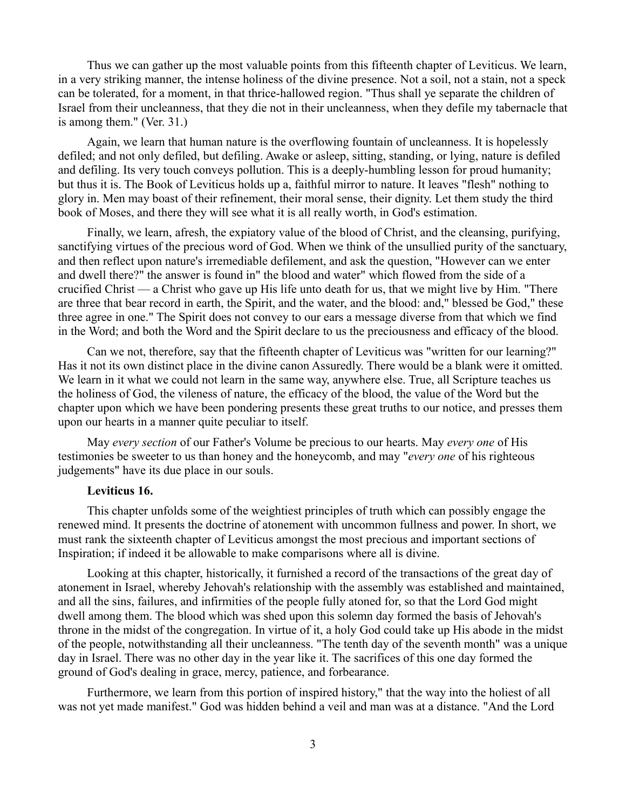Thus we can gather up the most valuable points from this fifteenth chapter of Leviticus. We learn, in a very striking manner, the intense holiness of the divine presence. Not a soil, not a stain, not a speck can be tolerated, for a moment, in that thrice-hallowed region. "Thus shall ye separate the children of Israel from their uncleanness, that they die not in their uncleanness, when they defile my tabernacle that is among them." (Ver. 31.)

Again, we learn that human nature is the overflowing fountain of uncleanness. It is hopelessly defiled; and not only defiled, but defiling. Awake or asleep, sitting, standing, or lying, nature is defiled and defiling. Its very touch conveys pollution. This is a deeply-humbling lesson for proud humanity; but thus it is. The Book of Leviticus holds up a, faithful mirror to nature. It leaves "flesh" nothing to glory in. Men may boast of their refinement, their moral sense, their dignity. Let them study the third book of Moses, and there they will see what it is all really worth, in God's estimation.

Finally, we learn, afresh, the expiatory value of the blood of Christ, and the cleansing, purifying, sanctifying virtues of the precious word of God. When we think of the unsullied purity of the sanctuary, and then reflect upon nature's irremediable defilement, and ask the question, "However can we enter and dwell there?" the answer is found in" the blood and water" which flowed from the side of a crucified Christ — a Christ who gave up His life unto death for us, that we might live by Him. "There are three that bear record in earth, the Spirit, and the water, and the blood: and," blessed be God," these three agree in one." The Spirit does not convey to our ears a message diverse from that which we find in the Word; and both the Word and the Spirit declare to us the preciousness and efficacy of the blood.

Can we not, therefore, say that the fifteenth chapter of Leviticus was "written for our learning?" Has it not its own distinct place in the divine canon Assuredly. There would be a blank were it omitted. We learn in it what we could not learn in the same way, anywhere else. True, all Scripture teaches us the holiness of God, the vileness of nature, the efficacy of the blood, the value of the Word but the chapter upon which we have been pondering presents these great truths to our notice, and presses them upon our hearts in a manner quite peculiar to itself.

May *every section* of our Father's Volume be precious to our hearts. May *every one* of His testimonies be sweeter to us than honey and the honeycomb, and may "*every one* of his righteous judgements" have its due place in our souls.

## **Leviticus 16.**

This chapter unfolds some of the weightiest principles of truth which can possibly engage the renewed mind. It presents the doctrine of atonement with uncommon fullness and power. In short, we must rank the sixteenth chapter of Leviticus amongst the most precious and important sections of Inspiration; if indeed it be allowable to make comparisons where all is divine.

Looking at this chapter, historically, it furnished a record of the transactions of the great day of atonement in Israel, whereby Jehovah's relationship with the assembly was established and maintained, and all the sins, failures, and infirmities of the people fully atoned for, so that the Lord God might dwell among them. The blood which was shed upon this solemn day formed the basis of Jehovah's throne in the midst of the congregation. In virtue of it, a holy God could take up His abode in the midst of the people, notwithstanding all their uncleanness. "The tenth day of the seventh month" was a unique day in Israel. There was no other day in the year like it. The sacrifices of this one day formed the ground of God's dealing in grace, mercy, patience, and forbearance.

Furthermore, we learn from this portion of inspired history," that the way into the holiest of all was not yet made manifest." God was hidden behind a veil and man was at a distance. "And the Lord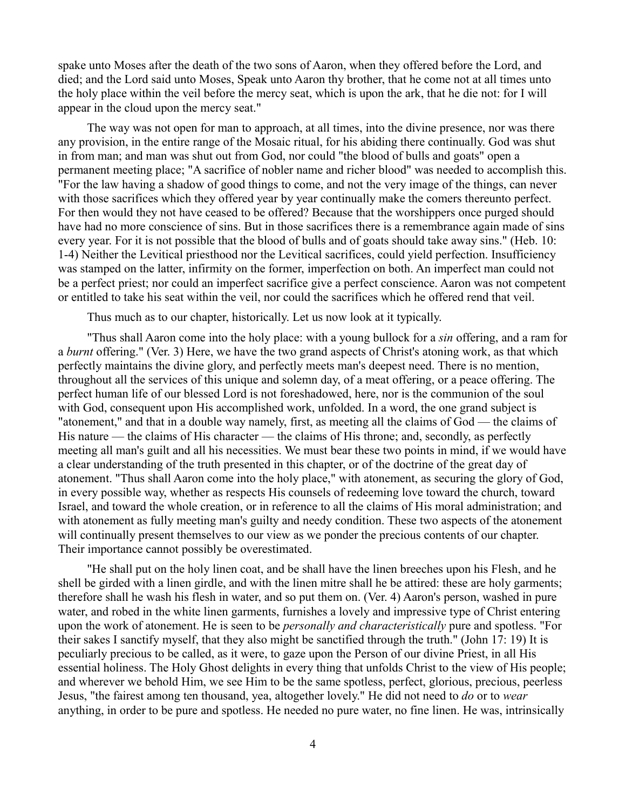spake unto Moses after the death of the two sons of Aaron, when they offered before the Lord, and died; and the Lord said unto Moses, Speak unto Aaron thy brother, that he come not at all times unto the holy place within the veil before the mercy seat, which is upon the ark, that he die not: for I will appear in the cloud upon the mercy seat."

The way was not open for man to approach, at all times, into the divine presence, nor was there any provision, in the entire range of the Mosaic ritual, for his abiding there continually. God was shut in from man; and man was shut out from God, nor could "the blood of bulls and goats" open a permanent meeting place; "A sacrifice of nobler name and richer blood" was needed to accomplish this. "For the law having a shadow of good things to come, and not the very image of the things, can never with those sacrifices which they offered year by year continually make the comers thereunto perfect. For then would they not have ceased to be offered? Because that the worshippers once purged should have had no more conscience of sins. But in those sacrifices there is a remembrance again made of sins every year. For it is not possible that the blood of bulls and of goats should take away sins." (Heb. 10: 1-4) Neither the Levitical priesthood nor the Levitical sacrifices, could yield perfection. Insufficiency was stamped on the latter, infirmity on the former, imperfection on both. An imperfect man could not be a perfect priest; nor could an imperfect sacrifice give a perfect conscience. Aaron was not competent or entitled to take his seat within the veil, nor could the sacrifices which he offered rend that veil.

Thus much as to our chapter, historically. Let us now look at it typically.

"Thus shall Aaron come into the holy place: with a young bullock for a *sin* offering, and a ram for a *burnt* offering." (Ver. 3) Here, we have the two grand aspects of Christ's atoning work, as that which perfectly maintains the divine glory, and perfectly meets man's deepest need. There is no mention, throughout all the services of this unique and solemn day, of a meat offering, or a peace offering. The perfect human life of our blessed Lord is not foreshadowed, here, nor is the communion of the soul with God, consequent upon His accomplished work, unfolded. In a word, the one grand subject is "atonement," and that in a double way namely, first, as meeting all the claims of God — the claims of His nature — the claims of His character — the claims of His throne; and, secondly, as perfectly meeting all man's guilt and all his necessities. We must bear these two points in mind, if we would have a clear understanding of the truth presented in this chapter, or of the doctrine of the great day of atonement. "Thus shall Aaron come into the holy place," with atonement, as securing the glory of God, in every possible way, whether as respects His counsels of redeeming love toward the church, toward Israel, and toward the whole creation, or in reference to all the claims of His moral administration; and with atonement as fully meeting man's guilty and needy condition. These two aspects of the atonement will continually present themselves to our view as we ponder the precious contents of our chapter. Their importance cannot possibly be overestimated.

"He shall put on the holy linen coat, and be shall have the linen breeches upon his Flesh, and he shell be girded with a linen girdle, and with the linen mitre shall he be attired: these are holy garments; therefore shall he wash his flesh in water, and so put them on. (Ver. 4) Aaron's person, washed in pure water, and robed in the white linen garments, furnishes a lovely and impressive type of Christ entering upon the work of atonement. He is seen to be *personally and characteristically* pure and spotless. "For their sakes I sanctify myself, that they also might be sanctified through the truth." (John 17: 19) It is peculiarly precious to be called, as it were, to gaze upon the Person of our divine Priest, in all His essential holiness. The Holy Ghost delights in every thing that unfolds Christ to the view of His people; and wherever we behold Him, we see Him to be the same spotless, perfect, glorious, precious, peerless Jesus, "the fairest among ten thousand, yea, altogether lovely." He did not need to *do* or to *wear* anything, in order to be pure and spotless. He needed no pure water, no fine linen. He was, intrinsically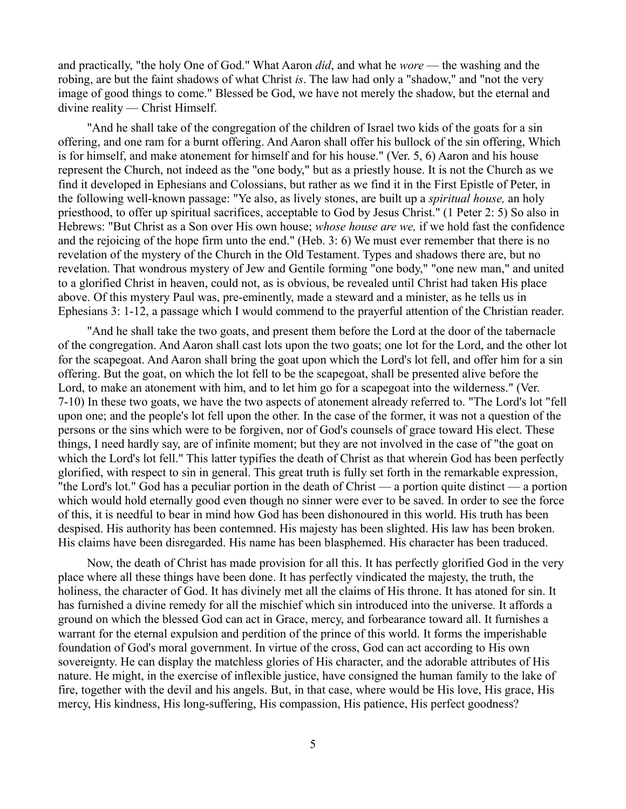and practically, "the holy One of God." What Aaron *did*, and what he *wore* — the washing and the robing, are but the faint shadows of what Christ *is*. The law had only a "shadow," and "not the very image of good things to come." Blessed be God, we have not merely the shadow, but the eternal and divine reality — Christ Himself.

"And he shall take of the congregation of the children of Israel two kids of the goats for a sin offering, and one ram for a burnt offering. And Aaron shall offer his bullock of the sin offering, Which is for himself, and make atonement for himself and for his house." (Ver. 5, 6) Aaron and his house represent the Church, not indeed as the "one body," but as a priestly house. It is not the Church as we find it developed in Ephesians and Colossians, but rather as we find it in the First Epistle of Peter, in the following well-known passage: "Ye also, as lively stones, are built up a *spiritual house,* an holy priesthood, to offer up spiritual sacrifices, acceptable to God by Jesus Christ." (1 Peter 2: 5) So also in Hebrews: "But Christ as a Son over His own house; *whose house are we,* if we hold fast the confidence and the rejoicing of the hope firm unto the end." (Heb. 3: 6) We must ever remember that there is no revelation of the mystery of the Church in the Old Testament. Types and shadows there are, but no revelation. That wondrous mystery of Jew and Gentile forming "one body," "one new man," and united to a glorified Christ in heaven, could not, as is obvious, be revealed until Christ had taken His place above. Of this mystery Paul was, pre-eminently, made a steward and a minister, as he tells us in Ephesians 3: 1-12, a passage which I would commend to the prayerful attention of the Christian reader.

"And he shall take the two goats, and present them before the Lord at the door of the tabernacle of the congregation. And Aaron shall cast lots upon the two goats; one lot for the Lord, and the other lot for the scapegoat. And Aaron shall bring the goat upon which the Lord's lot fell, and offer him for a sin offering. But the goat, on which the lot fell to be the scapegoat, shall be presented alive before the Lord, to make an atonement with him, and to let him go for a scapegoat into the wilderness." (Ver. 7-10) In these two goats, we have the two aspects of atonement already referred to. "The Lord's lot "fell upon one; and the people's lot fell upon the other. In the case of the former, it was not a question of the persons or the sins which were to be forgiven, nor of God's counsels of grace toward His elect. These things, I need hardly say, are of infinite moment; but they are not involved in the case of "the goat on which the Lord's lot fell." This latter typifies the death of Christ as that wherein God has been perfectly glorified, with respect to sin in general. This great truth is fully set forth in the remarkable expression, "the Lord's lot." God has a peculiar portion in the death of Christ — a portion quite distinct — a portion which would hold eternally good even though no sinner were ever to be saved. In order to see the force of this, it is needful to bear in mind how God has been dishonoured in this world. His truth has been despised. His authority has been contemned. His majesty has been slighted. His law has been broken. His claims have been disregarded. His name has been blasphemed. His character has been traduced.

Now, the death of Christ has made provision for all this. It has perfectly glorified God in the very place where all these things have been done. It has perfectly vindicated the majesty, the truth, the holiness, the character of God. It has divinely met all the claims of His throne. It has atoned for sin. It has furnished a divine remedy for all the mischief which sin introduced into the universe. It affords a ground on which the blessed God can act in Grace, mercy, and forbearance toward all. It furnishes a warrant for the eternal expulsion and perdition of the prince of this world. It forms the imperishable foundation of God's moral government. In virtue of the cross, God can act according to His own sovereignty. He can display the matchless glories of His character, and the adorable attributes of His nature. He might, in the exercise of inflexible justice, have consigned the human family to the lake of fire, together with the devil and his angels. But, in that case, where would be His love, His grace, His mercy, His kindness, His long-suffering, His compassion, His patience, His perfect goodness?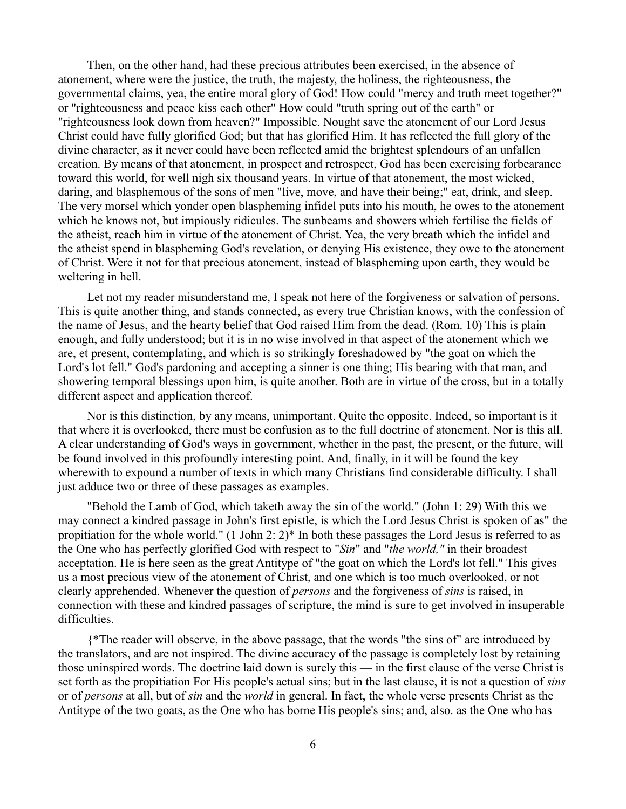Then, on the other hand, had these precious attributes been exercised, in the absence of atonement, where were the justice, the truth, the majesty, the holiness, the righteousness, the governmental claims, yea, the entire moral glory of God! How could "mercy and truth meet together?" or "righteousness and peace kiss each other" How could "truth spring out of the earth" or "righteousness look down from heaven?" Impossible. Nought save the atonement of our Lord Jesus Christ could have fully glorified God; but that has glorified Him. It has reflected the full glory of the divine character, as it never could have been reflected amid the brightest splendours of an unfallen creation. By means of that atonement, in prospect and retrospect, God has been exercising forbearance toward this world, for well nigh six thousand years. In virtue of that atonement, the most wicked, daring, and blasphemous of the sons of men "live, move, and have their being;" eat, drink, and sleep. The very morsel which yonder open blaspheming infidel puts into his mouth, he owes to the atonement which he knows not, but impiously ridicules. The sunbeams and showers which fertilise the fields of the atheist, reach him in virtue of the atonement of Christ. Yea, the very breath which the infidel and the atheist spend in blaspheming God's revelation, or denying His existence, they owe to the atonement of Christ. Were it not for that precious atonement, instead of blaspheming upon earth, they would be weltering in hell.

Let not my reader misunderstand me, I speak not here of the forgiveness or salvation of persons. This is quite another thing, and stands connected, as every true Christian knows, with the confession of the name of Jesus, and the hearty belief that God raised Him from the dead. (Rom. 10) This is plain enough, and fully understood; but it is in no wise involved in that aspect of the atonement which we are, et present, contemplating, and which is so strikingly foreshadowed by "the goat on which the Lord's lot fell." God's pardoning and accepting a sinner is one thing; His bearing with that man, and showering temporal blessings upon him, is quite another. Both are in virtue of the cross, but in a totally different aspect and application thereof.

Nor is this distinction, by any means, unimportant. Quite the opposite. Indeed, so important is it that where it is overlooked, there must be confusion as to the full doctrine of atonement. Nor is this all. A clear understanding of God's ways in government, whether in the past, the present, or the future, will be found involved in this profoundly interesting point. And, finally, in it will be found the key wherewith to expound a number of texts in which many Christians find considerable difficulty. I shall just adduce two or three of these passages as examples.

"Behold the Lamb of God, which taketh away the sin of the world." (John 1: 29) With this we may connect a kindred passage in John's first epistle, is which the Lord Jesus Christ is spoken of as" the propitiation for the whole world." (1 John 2: 2)\* In both these passages the Lord Jesus is referred to as the One who has perfectly glorified God with respect to "*Sin*" and "*the world,"* in their broadest acceptation. He is here seen as the great Antitype of "the goat on which the Lord's lot fell." This gives us a most precious view of the atonement of Christ, and one which is too much overlooked, or not clearly apprehended. Whenever the question of *persons* and the forgiveness of *sins* is raised, in connection with these and kindred passages of scripture, the mind is sure to get involved in insuperable difficulties.

{\*The reader will observe, in the above passage, that the words "the sins of" are introduced by the translators, and are not inspired. The divine accuracy of the passage is completely lost by retaining those uninspired words. The doctrine laid down is surely this — in the first clause of the verse Christ is set forth as the propitiation For His people's actual sins; but in the last clause, it is not a question of *sins* or of *persons* at all, but of *sin* and the *world* in general. In fact, the whole verse presents Christ as the Antitype of the two goats, as the One who has borne His people's sins; and, also. as the One who has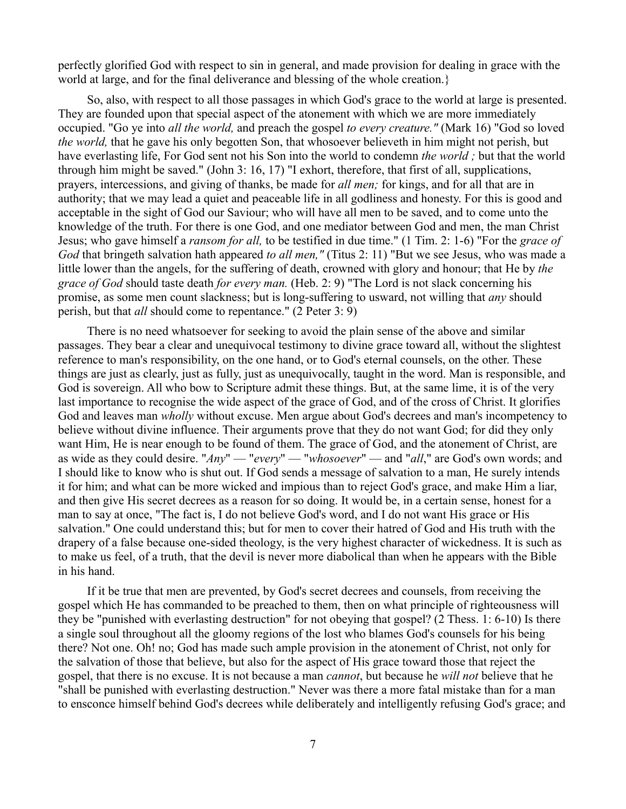perfectly glorified God with respect to sin in general, and made provision for dealing in grace with the world at large, and for the final deliverance and blessing of the whole creation.}

So, also, with respect to all those passages in which God's grace to the world at large is presented. They are founded upon that special aspect of the atonement with which we are more immediately occupied. "Go ye into *all the world,* and preach the gospel *to every creature."* (Mark 16) "God so loved *the world,* that he gave his only begotten Son, that whosoever believeth in him might not perish, but have everlasting life, For God sent not his Son into the world to condemn *the world ;* but that the world through him might be saved." (John 3: 16, 17) "I exhort, therefore, that first of all, supplications, prayers, intercessions, and giving of thanks, be made for *all men;* for kings, and for all that are in authority; that we may lead a quiet and peaceable life in all godliness and honesty. For this is good and acceptable in the sight of God our Saviour; who will have all men to be saved, and to come unto the knowledge of the truth. For there is one God, and one mediator between God and men, the man Christ Jesus; who gave himself a *ransom for all,* to be testified in due time." (1 Tim. 2: 1-6) "For the *grace of God* that bringeth salvation hath appeared *to all men,"* (Titus 2: 11) "But we see Jesus, who was made a little lower than the angels, for the suffering of death, crowned with glory and honour; that He by *the grace of God* should taste death *for every man.* (Heb. 2: 9) "The Lord is not slack concerning his promise, as some men count slackness; but is long-suffering to usward, not willing that *any* should perish, but that *all* should come to repentance." (2 Peter 3: 9)

There is no need whatsoever for seeking to avoid the plain sense of the above and similar passages. They bear a clear and unequivocal testimony to divine grace toward all, without the slightest reference to man's responsibility, on the one hand, or to God's eternal counsels, on the other. These things are just as clearly, just as fully, just as unequivocally, taught in the word. Man is responsible, and God is sovereign. All who bow to Scripture admit these things. But, at the same lime, it is of the very last importance to recognise the wide aspect of the grace of God, and of the cross of Christ. It glorifies God and leaves man *wholly* without excuse. Men argue about God's decrees and man's incompetency to believe without divine influence. Their arguments prove that they do not want God; for did they only want Him, He is near enough to be found of them. The grace of God, and the atonement of Christ, are as wide as they could desire. "*Any*" — "*every*" — "*whosoever*" — and "*all*," are God's own words; and I should like to know who is shut out. If God sends a message of salvation to a man, He surely intends it for him; and what can be more wicked and impious than to reject God's grace, and make Him a liar, and then give His secret decrees as a reason for so doing. It would be, in a certain sense, honest for a man to say at once, "The fact is, I do not believe God's word, and I do not want His grace or His salvation." One could understand this; but for men to cover their hatred of God and His truth with the drapery of a false because one-sided theology, is the very highest character of wickedness. It is such as to make us feel, of a truth, that the devil is never more diabolical than when he appears with the Bible in his hand.

If it be true that men are prevented, by God's secret decrees and counsels, from receiving the gospel which He has commanded to be preached to them, then on what principle of righteousness will they be "punished with everlasting destruction" for not obeying that gospel? (2 Thess. 1: 6-10) Is there a single soul throughout all the gloomy regions of the lost who blames God's counsels for his being there? Not one. Oh! no; God has made such ample provision in the atonement of Christ, not only for the salvation of those that believe, but also for the aspect of His grace toward those that reject the gospel, that there is no excuse. It is not because a man *cannot*, but because he *will not* believe that he "shall be punished with everlasting destruction." Never was there a more fatal mistake than for a man to ensconce himself behind God's decrees while deliberately and intelligently refusing God's grace; and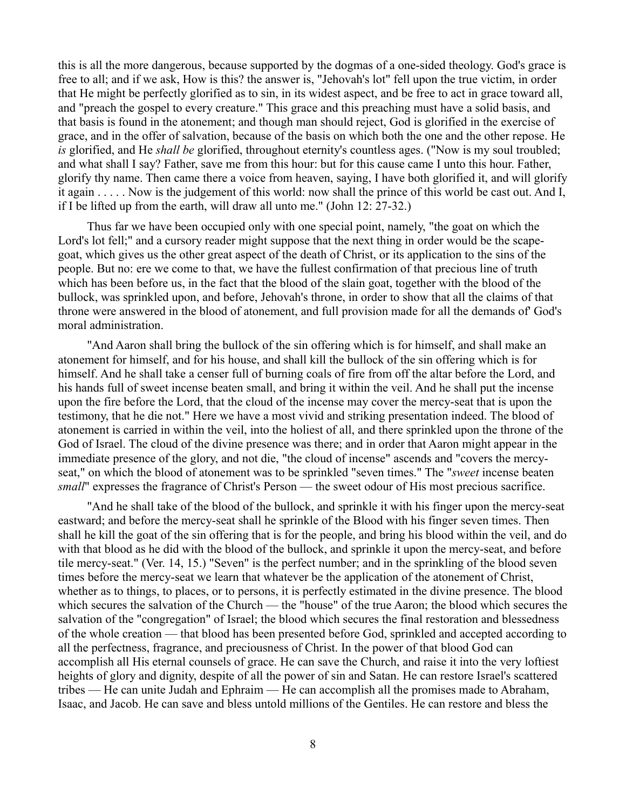this is all the more dangerous, because supported by the dogmas of a one-sided theology. God's grace is free to all; and if we ask, How is this? the answer is, "Jehovah's lot" fell upon the true victim, in order that He might be perfectly glorified as to sin, in its widest aspect, and be free to act in grace toward all, and "preach the gospel to every creature." This grace and this preaching must have a solid basis, and that basis is found in the atonement; and though man should reject, God is glorified in the exercise of grace, and in the offer of salvation, because of the basis on which both the one and the other repose. He *is* glorified, and He *shall be* glorified, throughout eternity's countless ages. ("Now is my soul troubled; and what shall I say? Father, save me from this hour: but for this cause came I unto this hour. Father, glorify thy name. Then came there a voice from heaven, saying, I have both glorified it, and will glorify it again . . . . . Now is the judgement of this world: now shall the prince of this world be cast out. And I, if I be lifted up from the earth, will draw all unto me." (John 12: 27-32.)

Thus far we have been occupied only with one special point, namely, "the goat on which the Lord's lot fell;" and a cursory reader might suppose that the next thing in order would be the scapegoat, which gives us the other great aspect of the death of Christ, or its application to the sins of the people. But no: ere we come to that, we have the fullest confirmation of that precious line of truth which has been before us, in the fact that the blood of the slain goat, together with the blood of the bullock, was sprinkled upon, and before, Jehovah's throne, in order to show that all the claims of that throne were answered in the blood of atonement, and full provision made for all the demands of' God's moral administration.

"And Aaron shall bring the bullock of the sin offering which is for himself, and shall make an atonement for himself, and for his house, and shall kill the bullock of the sin offering which is for himself. And he shall take a censer full of burning coals of fire from off the altar before the Lord, and his hands full of sweet incense beaten small, and bring it within the veil. And he shall put the incense upon the fire before the Lord, that the cloud of the incense may cover the mercy-seat that is upon the testimony, that he die not." Here we have a most vivid and striking presentation indeed. The blood of atonement is carried in within the veil, into the holiest of all, and there sprinkled upon the throne of the God of Israel. The cloud of the divine presence was there; and in order that Aaron might appear in the immediate presence of the glory, and not die, "the cloud of incense" ascends and "covers the mercyseat," on which the blood of atonement was to be sprinkled "seven times." The "*sweet* incense beaten *small*" expresses the fragrance of Christ's Person — the sweet odour of His most precious sacrifice.

"And he shall take of the blood of the bullock, and sprinkle it with his finger upon the mercy-seat eastward; and before the mercy-seat shall he sprinkle of the Blood with his finger seven times. Then shall he kill the goat of the sin offering that is for the people, and bring his blood within the veil, and do with that blood as he did with the blood of the bullock, and sprinkle it upon the mercy-seat, and before tile mercy-seat." (Ver. 14, 15.) "Seven" is the perfect number; and in the sprinkling of the blood seven times before the mercy-seat we learn that whatever be the application of the atonement of Christ, whether as to things, to places, or to persons, it is perfectly estimated in the divine presence. The blood which secures the salvation of the Church — the "house" of the true Aaron; the blood which secures the salvation of the "congregation" of Israel; the blood which secures the final restoration and blessedness of the whole creation — that blood has been presented before God, sprinkled and accepted according to all the perfectness, fragrance, and preciousness of Christ. In the power of that blood God can accomplish all His eternal counsels of grace. He can save the Church, and raise it into the very loftiest heights of glory and dignity, despite of all the power of sin and Satan. He can restore Israel's scattered tribes — He can unite Judah and Ephraim — He can accomplish all the promises made to Abraham, Isaac, and Jacob. He can save and bless untold millions of the Gentiles. He can restore and bless the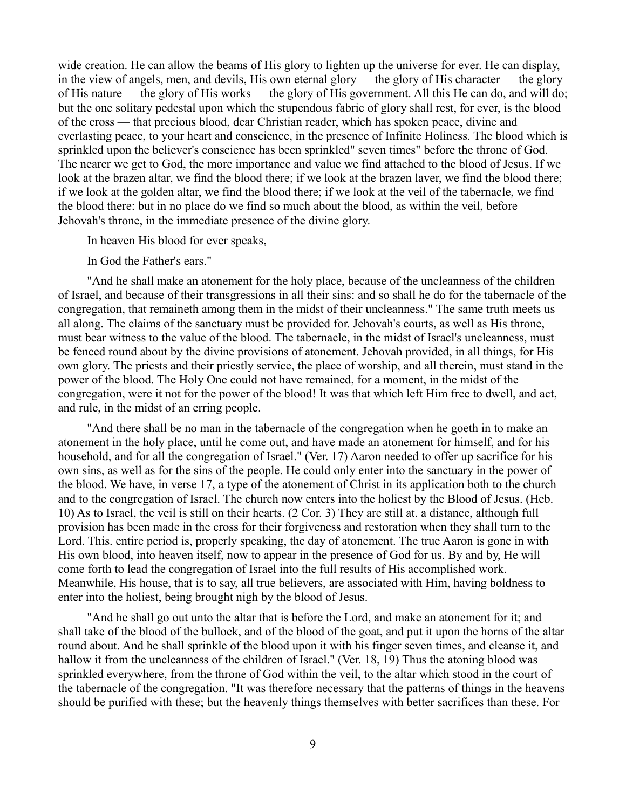wide creation. He can allow the beams of His glory to lighten up the universe for ever. He can display, in the view of angels, men, and devils, His own eternal glory — the glory of His character — the glory of His nature — the glory of His works — the glory of His government. All this He can do, and will do; but the one solitary pedestal upon which the stupendous fabric of glory shall rest, for ever, is the blood of the cross — that precious blood, dear Christian reader, which has spoken peace, divine and everlasting peace, to your heart and conscience, in the presence of Infinite Holiness. The blood which is sprinkled upon the believer's conscience has been sprinkled" seven times" before the throne of God. The nearer we get to God, the more importance and value we find attached to the blood of Jesus. If we look at the brazen altar, we find the blood there; if we look at the brazen laver, we find the blood there; if we look at the golden altar, we find the blood there; if we look at the veil of the tabernacle, we find the blood there: but in no place do we find so much about the blood, as within the veil, before Jehovah's throne, in the immediate presence of the divine glory.

In heaven His blood for ever speaks,

In God the Father's ears."

"And he shall make an atonement for the holy place, because of the uncleanness of the children of Israel, and because of their transgressions in all their sins: and so shall he do for the tabernacle of the congregation, that remaineth among them in the midst of their uncleanness." The same truth meets us all along. The claims of the sanctuary must be provided for. Jehovah's courts, as well as His throne, must bear witness to the value of the blood. The tabernacle, in the midst of Israel's uncleanness, must be fenced round about by the divine provisions of atonement. Jehovah provided, in all things, for His own glory. The priests and their priestly service, the place of worship, and all therein, must stand in the power of the blood. The Holy One could not have remained, for a moment, in the midst of the congregation, were it not for the power of the blood! It was that which left Him free to dwell, and act, and rule, in the midst of an erring people.

"And there shall be no man in the tabernacle of the congregation when he goeth in to make an atonement in the holy place, until he come out, and have made an atonement for himself, and for his household, and for all the congregation of Israel." (Ver. 17) Aaron needed to offer up sacrifice for his own sins, as well as for the sins of the people. He could only enter into the sanctuary in the power of the blood. We have, in verse 17, a type of the atonement of Christ in its application both to the church and to the congregation of Israel. The church now enters into the holiest by the Blood of Jesus. (Heb. 10) As to Israel, the veil is still on their hearts. (2 Cor. 3) They are still at. a distance, although full provision has been made in the cross for their forgiveness and restoration when they shall turn to the Lord. This. entire period is, properly speaking, the day of atonement. The true Aaron is gone in with His own blood, into heaven itself, now to appear in the presence of God for us. By and by, He will come forth to lead the congregation of Israel into the full results of His accomplished work. Meanwhile, His house, that is to say, all true believers, are associated with Him, having boldness to enter into the holiest, being brought nigh by the blood of Jesus.

"And he shall go out unto the altar that is before the Lord, and make an atonement for it; and shall take of the blood of the bullock, and of the blood of the goat, and put it upon the horns of the altar round about. And he shall sprinkle of the blood upon it with his finger seven times, and cleanse it, and hallow it from the uncleanness of the children of Israel." (Ver. 18, 19) Thus the atoning blood was sprinkled everywhere, from the throne of God within the veil, to the altar which stood in the court of the tabernacle of the congregation. "It was therefore necessary that the patterns of things in the heavens should be purified with these; but the heavenly things themselves with better sacrifices than these. For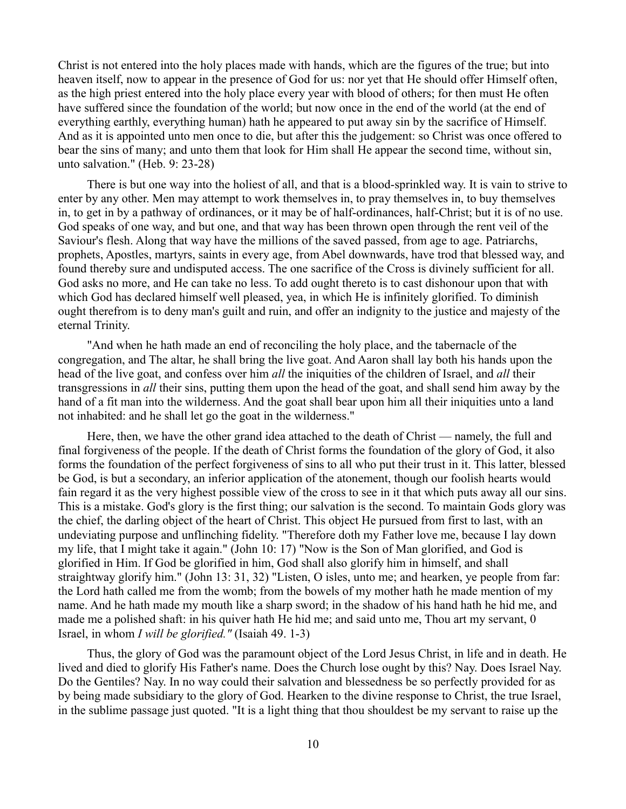Christ is not entered into the holy places made with hands, which are the figures of the true; but into heaven itself, now to appear in the presence of God for us: nor yet that He should offer Himself often, as the high priest entered into the holy place every year with blood of others; for then must He often have suffered since the foundation of the world; but now once in the end of the world (at the end of everything earthly, everything human) hath he appeared to put away sin by the sacrifice of Himself. And as it is appointed unto men once to die, but after this the judgement: so Christ was once offered to bear the sins of many; and unto them that look for Him shall He appear the second time, without sin, unto salvation." (Heb. 9: 23-28)

There is but one way into the holiest of all, and that is a blood-sprinkled way. It is vain to strive to enter by any other. Men may attempt to work themselves in, to pray themselves in, to buy themselves in, to get in by a pathway of ordinances, or it may be of half-ordinances, half-Christ; but it is of no use. God speaks of one way, and but one, and that way has been thrown open through the rent veil of the Saviour's flesh. Along that way have the millions of the saved passed, from age to age. Patriarchs, prophets, Apostles, martyrs, saints in every age, from Abel downwards, have trod that blessed way, and found thereby sure and undisputed access. The one sacrifice of the Cross is divinely sufficient for all. God asks no more, and He can take no less. To add ought thereto is to cast dishonour upon that with which God has declared himself well pleased, yea, in which He is infinitely glorified. To diminish ought therefrom is to deny man's guilt and ruin, and offer an indignity to the justice and majesty of the eternal Trinity.

"And when he hath made an end of reconciling the holy place, and the tabernacle of the congregation, and The altar, he shall bring the live goat. And Aaron shall lay both his hands upon the head of the live goat, and confess over him *all* the iniquities of the children of Israel, and *all* their transgressions in *all* their sins, putting them upon the head of the goat, and shall send him away by the hand of a fit man into the wilderness. And the goat shall bear upon him all their iniquities unto a land not inhabited: and he shall let go the goat in the wilderness."

Here, then, we have the other grand idea attached to the death of Christ — namely, the full and final forgiveness of the people. If the death of Christ forms the foundation of the glory of God, it also forms the foundation of the perfect forgiveness of sins to all who put their trust in it. This latter, blessed be God, is but a secondary, an inferior application of the atonement, though our foolish hearts would fain regard it as the very highest possible view of the cross to see in it that which puts away all our sins. This is a mistake. God's glory is the first thing; our salvation is the second. To maintain Gods glory was the chief, the darling object of the heart of Christ. This object He pursued from first to last, with an undeviating purpose and unflinching fidelity. "Therefore doth my Father love me, because I lay down my life, that I might take it again." (John 10: 17) "Now is the Son of Man glorified, and God is glorified in Him. If God be glorified in him, God shall also glorify him in himself, and shall straightway glorify him." (John 13: 31, 32) "Listen, O isles, unto me; and hearken, ye people from far: the Lord hath called me from the womb; from the bowels of my mother hath he made mention of my name. And he hath made my mouth like a sharp sword; in the shadow of his hand hath he hid me, and made me a polished shaft: in his quiver hath He hid me; and said unto me, Thou art my servant, 0 Israel, in whom *I will be glorified."* (Isaiah 49. 1-3)

Thus, the glory of God was the paramount object of the Lord Jesus Christ, in life and in death. He lived and died to glorify His Father's name. Does the Church lose ought by this? Nay. Does Israel Nay. Do the Gentiles? Nay. In no way could their salvation and blessedness be so perfectly provided for as by being made subsidiary to the glory of God. Hearken to the divine response to Christ, the true Israel, in the sublime passage just quoted. "It is a light thing that thou shouldest be my servant to raise up the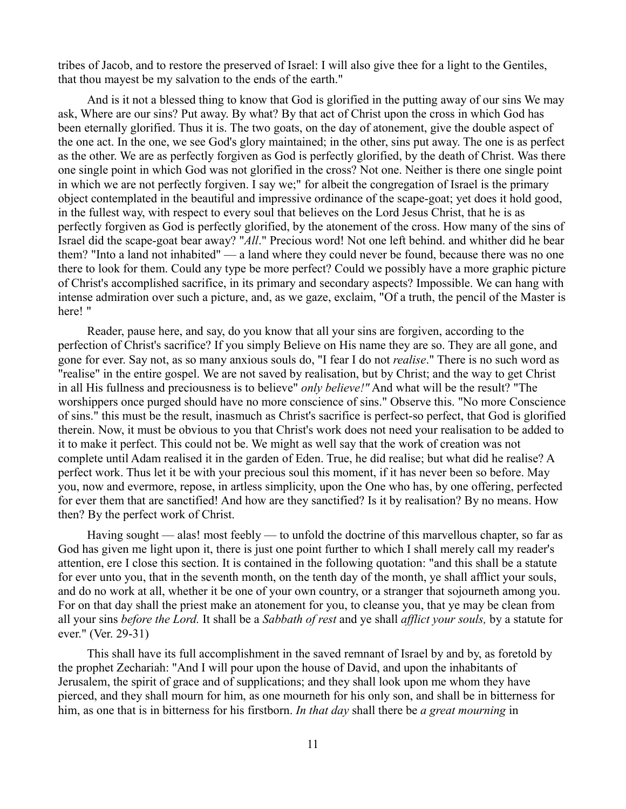tribes of Jacob, and to restore the preserved of Israel: I will also give thee for a light to the Gentiles, that thou mayest be my salvation to the ends of the earth."

And is it not a blessed thing to know that God is glorified in the putting away of our sins We may ask, Where are our sins? Put away. By what? By that act of Christ upon the cross in which God has been eternally glorified. Thus it is. The two goats, on the day of atonement, give the double aspect of the one act. In the one, we see God's glory maintained; in the other, sins put away. The one is as perfect as the other. We are as perfectly forgiven as God is perfectly glorified, by the death of Christ. Was there one single point in which God was not glorified in the cross? Not one. Neither is there one single point in which we are not perfectly forgiven. I say we;" for albeit the congregation of Israel is the primary object contemplated in the beautiful and impressive ordinance of the scape-goat; yet does it hold good, in the fullest way, with respect to every soul that believes on the Lord Jesus Christ, that he is as perfectly forgiven as God is perfectly glorified, by the atonement of the cross. How many of the sins of Israel did the scape-goat bear away? "*All*." Precious word! Not one left behind. and whither did he bear them? "Into a land not inhabited" — a land where they could never be found, because there was no one there to look for them. Could any type be more perfect? Could we possibly have a more graphic picture of Christ's accomplished sacrifice, in its primary and secondary aspects? Impossible. We can hang with intense admiration over such a picture, and, as we gaze, exclaim, "Of a truth, the pencil of the Master is here! "

Reader, pause here, and say, do you know that all your sins are forgiven, according to the perfection of Christ's sacrifice? If you simply Believe on His name they are so. They are all gone, and gone for ever. Say not, as so many anxious souls do, "I fear I do not *realise*." There is no such word as "realise" in the entire gospel. We are not saved by realisation, but by Christ; and the way to get Christ in all His fullness and preciousness is to believe" *only believe!"* And what will be the result? "The worshippers once purged should have no more conscience of sins." Observe this. "No more Conscience of sins." this must be the result, inasmuch as Christ's sacrifice is perfect-so perfect, that God is glorified therein. Now, it must be obvious to you that Christ's work does not need your realisation to be added to it to make it perfect. This could not be. We might as well say that the work of creation was not complete until Adam realised it in the garden of Eden. True, he did realise; but what did he realise? A perfect work. Thus let it be with your precious soul this moment, if it has never been so before. May you, now and evermore, repose, in artless simplicity, upon the One who has, by one offering, perfected for ever them that are sanctified! And how are they sanctified? Is it by realisation? By no means. How then? By the perfect work of Christ.

Having sought — alas! most feebly — to unfold the doctrine of this marvellous chapter, so far as God has given me light upon it, there is just one point further to which I shall merely call my reader's attention, ere I close this section. It is contained in the following quotation: "and this shall be a statute for ever unto you, that in the seventh month, on the tenth day of the month, ye shall afflict your souls, and do no work at all, whether it be one of your own country, or a stranger that sojourneth among you. For on that day shall the priest make an atonement for you, to cleanse you, that ye may be clean from all your sins *before the Lord.* It shall be a *Sabbath of rest* and ye shall *afflict your souls,* by a statute for ever." (Ver. 29-31)

This shall have its full accomplishment in the saved remnant of Israel by and by, as foretold by the prophet Zechariah: "And I will pour upon the house of David, and upon the inhabitants of Jerusalem, the spirit of grace and of supplications; and they shall look upon me whom they have pierced, and they shall mourn for him, as one mourneth for his only son, and shall be in bitterness for him, as one that is in bitterness for his firstborn. *In that day* shall there be *a great mourning* in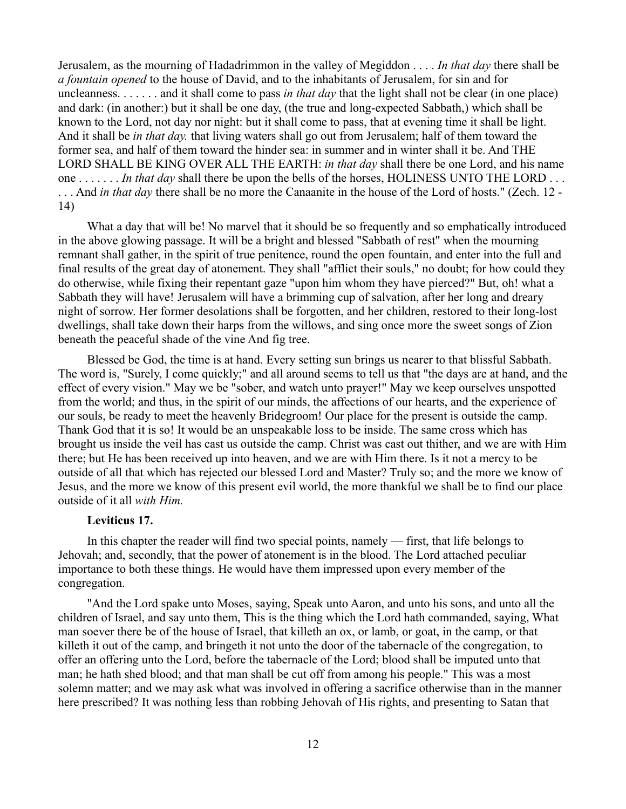Jerusalem, as the mourning of Hadadrimmon in the valley of Megiddon . . . . *In that day* there shall be *a fountain opened* to the house of David, and to the inhabitants of Jerusalem, for sin and for uncleanness. . . . . . . and it shall come to pass *in that day* that the light shall not be clear (in one place) and dark: (in another:) but it shall be one day, (the true and long-expected Sabbath,) which shall be known to the Lord, not day nor night: but it shall come to pass, that at evening time it shall be light. And it shall be *in that day.* that living waters shall go out from Jerusalem; half of them toward the former sea, and half of them toward the hinder sea: in summer and in winter shall it be. And THE LORD SHALL BE KING OVER ALL THE EARTH: *in that day* shall there be one Lord, and his name one . . . . . . . *In that day* shall there be upon the bells of the horses, HOLINESS UNTO THE LORD . . . . . . And *in that day* there shall be no more the Canaanite in the house of the Lord of hosts." (Zech. 12 - 14)

What a day that will be! No marvel that it should be so frequently and so emphatically introduced in the above glowing passage. It will be a bright and blessed "Sabbath of rest" when the mourning remnant shall gather, in the spirit of true penitence, round the open fountain, and enter into the full and final results of the great day of atonement. They shall "afflict their souls," no doubt; for how could they do otherwise, while fixing their repentant gaze "upon him whom they have pierced?" But, oh! what a Sabbath they will have! Jerusalem will have a brimming cup of salvation, after her long and dreary night of sorrow. Her former desolations shall be forgotten, and her children, restored to their long-lost dwellings, shall take down their harps from the willows, and sing once more the sweet songs of Zion beneath the peaceful shade of the vine And fig tree.

Blessed be God, the time is at hand. Every setting sun brings us nearer to that blissful Sabbath. The word is, "Surely, I come quickly;" and all around seems to tell us that "the days are at hand, and the effect of every vision." May we be "sober, and watch unto prayer!" May we keep ourselves unspotted from the world; and thus, in the spirit of our minds, the affections of our hearts, and the experience of our souls, be ready to meet the heavenly Bridegroom! Our place for the present is outside the camp. Thank God that it is so! It would be an unspeakable loss to be inside. The same cross which has brought us inside the veil has cast us outside the camp. Christ was cast out thither, and we are with Him there; but He has been received up into heaven, and we are with Him there. Is it not a mercy to be outside of all that which has rejected our blessed Lord and Master? Truly so; and the more we know of Jesus, and the more we know of this present evil world, the more thankful we shall be to find our place outside of it all *with Him.*

### **Leviticus 17.**

In this chapter the reader will find two special points, namely — first, that life belongs to Jehovah; and, secondly, that the power of atonement is in the blood. The Lord attached peculiar importance to both these things. He would have them impressed upon every member of the congregation.

"And the Lord spake unto Moses, saying, Speak unto Aaron, and unto his sons, and unto all the children of Israel, and say unto them, This is the thing which the Lord hath commanded, saying, What man soever there be of the house of Israel, that killeth an ox, or lamb, or goat, in the camp, or that killeth it out of the camp, and bringeth it not unto the door of the tabernacle of the congregation, to offer an offering unto the Lord, before the tabernacle of the Lord; blood shall be imputed unto that man; he hath shed blood; and that man shall be cut off from among his people." This was a most solemn matter; and we may ask what was involved in offering a sacrifice otherwise than in the manner here prescribed? It was nothing less than robbing Jehovah of His rights, and presenting to Satan that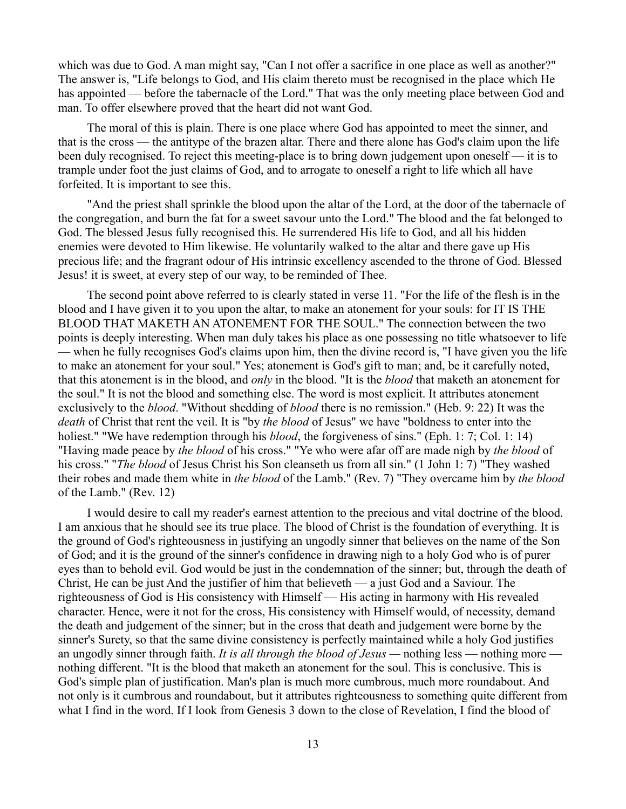which was due to God. A man might say, "Can I not offer a sacrifice in one place as well as another?" The answer is, "Life belongs to God, and His claim thereto must be recognised in the place which He has appointed — before the tabernacle of the Lord." That was the only meeting place between God and man. To offer elsewhere proved that the heart did not want God.

The moral of this is plain. There is one place where God has appointed to meet the sinner, and that is the cross — the antitype of the brazen altar. There and there alone has God's claim upon the life been duly recognised. To reject this meeting-place is to bring down judgement upon oneself — it is to trample under foot the just claims of God, and to arrogate to oneself a right to life which all have forfeited. It is important to see this.

"And the priest shall sprinkle the blood upon the altar of the Lord, at the door of the tabernacle of the congregation, and burn the fat for a sweet savour unto the Lord." The blood and the fat belonged to God. The blessed Jesus fully recognised this. He surrendered His life to God, and all his hidden enemies were devoted to Him likewise. He voluntarily walked to the altar and there gave up His precious life; and the fragrant odour of His intrinsic excellency ascended to the throne of God. Blessed Jesus! it is sweet, at every step of our way, to be reminded of Thee.

The second point above referred to is clearly stated in verse 11. "For the life of the flesh is in the blood and I have given it to you upon the altar, to make an atonement for your souls: for IT IS THE BLOOD THAT MAKETH AN ATONEMENT FOR THE SOUL." The connection between the two points is deeply interesting. When man duly takes his place as one possessing no title whatsoever to life — when he fully recognises God's claims upon him, then the divine record is, "I have given you the life to make an atonement for your soul." Yes; atonement is God's gift to man; and, be it carefully noted, that this atonement is in the blood, and *only* in the blood. "It is the *blood* that maketh an atonement for the soul." It is not the blood and something else. The word is most explicit. It attributes atonement exclusively to the *blood*. "Without shedding of *blood* there is no remission." (Heb. 9: 22) It was the *death* of Christ that rent the veil. It is "by *the blood* of Jesus" we have "boldness to enter into the holiest." "We have redemption through his *blood*, the forgiveness of sins." (Eph. 1: 7; Col. 1: 14) "Having made peace by *the blood* of his cross." "Ye who were afar off are made nigh by *the blood* of his cross." "*The blood* of Jesus Christ his Son cleanseth us from all sin." (1 John 1: 7) "They washed their robes and made them white in *the blood* of the Lamb." (Rev. 7) "They overcame him by *the blood* of the Lamb." (Rev. 12)

I would desire to call my reader's earnest attention to the precious and vital doctrine of the blood. I am anxious that he should see its true place. The blood of Christ is the foundation of everything. It is the ground of God's righteousness in justifying an ungodly sinner that believes on the name of the Son of God; and it is the ground of the sinner's confidence in drawing nigh to a holy God who is of purer eyes than to behold evil. God would be just in the condemnation of the sinner; but, through the death of Christ, He can be just And the justifier of him that believeth — a just God and a Saviour. The righteousness of God is His consistency with Himself — His acting in harmony with His revealed character. Hence, were it not for the cross, His consistency with Himself would, of necessity, demand the death and judgement of the sinner; but in the cross that death and judgement were borne by the sinner's Surety, so that the same divine consistency is perfectly maintained while a holy God justifies an ungodly sinner through faith. *It is all through the blood of Jesus —* nothing less — nothing more nothing different. "It is the blood that maketh an atonement for the soul. This is conclusive. This is God's simple plan of justification. Man's plan is much more cumbrous, much more roundabout. And not only is it cumbrous and roundabout, but it attributes righteousness to something quite different from what I find in the word. If I look from Genesis 3 down to the close of Revelation, I find the blood of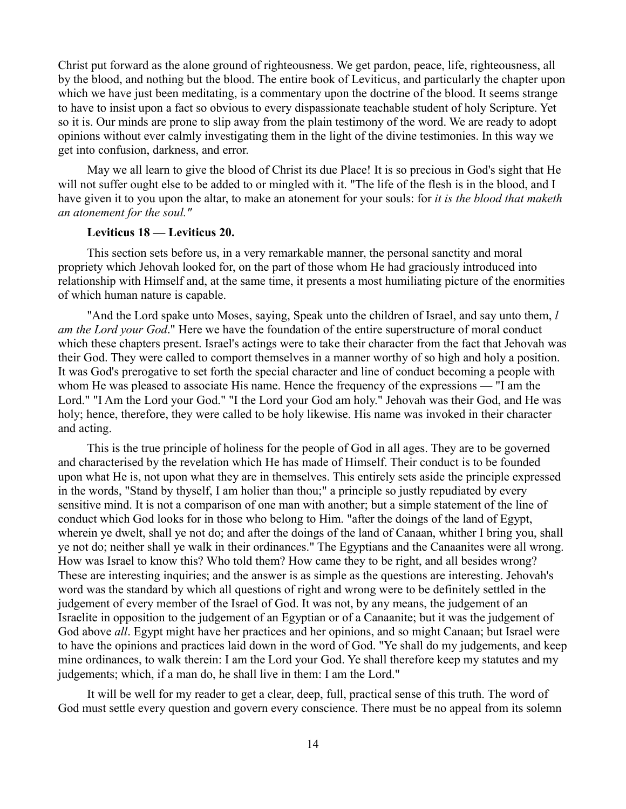Christ put forward as the alone ground of righteousness. We get pardon, peace, life, righteousness, all by the blood, and nothing but the blood. The entire book of Leviticus, and particularly the chapter upon which we have just been meditating, is a commentary upon the doctrine of the blood. It seems strange to have to insist upon a fact so obvious to every dispassionate teachable student of holy Scripture. Yet so it is. Our minds are prone to slip away from the plain testimony of the word. We are ready to adopt opinions without ever calmly investigating them in the light of the divine testimonies. In this way we get into confusion, darkness, and error.

May we all learn to give the blood of Christ its due Place! It is so precious in God's sight that He will not suffer ought else to be added to or mingled with it. "The life of the flesh is in the blood, and I have given it to you upon the altar, to make an atonement for your souls: for *it is the blood that maketh an atonement for the soul."*

### **Leviticus 18 — Leviticus 20.**

This section sets before us, in a very remarkable manner, the personal sanctity and moral propriety which Jehovah looked for, on the part of those whom He had graciously introduced into relationship with Himself and, at the same time, it presents a most humiliating picture of the enormities of which human nature is capable.

"And the Lord spake unto Moses, saying, Speak unto the children of Israel, and say unto them, *l am the Lord your God*." Here we have the foundation of the entire superstructure of moral conduct which these chapters present. Israel's actings were to take their character from the fact that Jehovah was their God. They were called to comport themselves in a manner worthy of so high and holy a position. It was God's prerogative to set forth the special character and line of conduct becoming a people with whom He was pleased to associate His name. Hence the frequency of the expressions — "I am the Lord." "I Am the Lord your God." "I the Lord your God am holy." Jehovah was their God, and He was holy; hence, therefore, they were called to be holy likewise. His name was invoked in their character and acting.

This is the true principle of holiness for the people of God in all ages. They are to be governed and characterised by the revelation which He has made of Himself. Their conduct is to be founded upon what He is, not upon what they are in themselves. This entirely sets aside the principle expressed in the words, "Stand by thyself, I am holier than thou;" a principle so justly repudiated by every sensitive mind. It is not a comparison of one man with another; but a simple statement of the line of conduct which God looks for in those who belong to Him. "after the doings of the land of Egypt, wherein ye dwelt, shall ye not do; and after the doings of the land of Canaan, whither I bring you, shall ye not do; neither shall ye walk in their ordinances." The Egyptians and the Canaanites were all wrong. How was Israel to know this? Who told them? How came they to be right, and all besides wrong? These are interesting inquiries; and the answer is as simple as the questions are interesting. Jehovah's word was the standard by which all questions of right and wrong were to be definitely settled in the judgement of every member of the Israel of God. It was not, by any means, the judgement of an Israelite in opposition to the judgement of an Egyptian or of a Canaanite; but it was the judgement of God above *all*. Egypt might have her practices and her opinions, and so might Canaan; but Israel were to have the opinions and practices laid down in the word of God. "Ye shall do my judgements, and keep mine ordinances, to walk therein: I am the Lord your God. Ye shall therefore keep my statutes and my judgements; which, if a man do, he shall live in them: I am the Lord."

It will be well for my reader to get a clear, deep, full, practical sense of this truth. The word of God must settle every question and govern every conscience. There must be no appeal from its solemn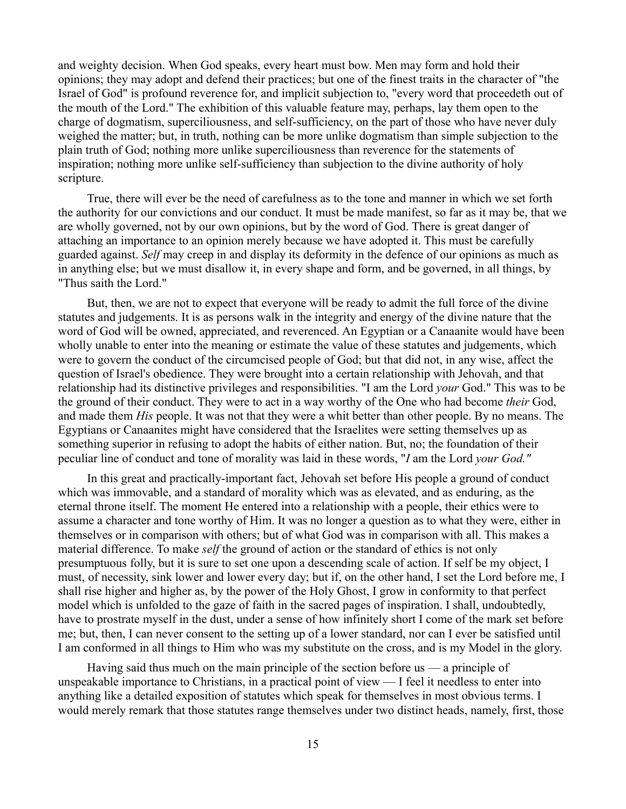and weighty decision. When God speaks, every heart must bow. Men may form and hold their opinions; they may adopt and defend their practices; but one of the finest traits in the character of "the Israel of God" is profound reverence for, and implicit subjection to, "every word that proceedeth out of the mouth of the Lord." The exhibition of this valuable feature may, perhaps, lay them open to the charge of dogmatism, superciliousness, and self-sufficiency, on the part of those who have never duly weighed the matter; but, in truth, nothing can be more unlike dogmatism than simple subjection to the plain truth of God; nothing more unlike superciliousness than reverence for the statements of inspiration; nothing more unlike self-sufficiency than subjection to the divine authority of holy scripture.

True, there will ever be the need of carefulness as to the tone and manner in which we set forth the authority for our convictions and our conduct. It must be made manifest, so far as it may be, that we are wholly governed, not by our own opinions, but by the word of God. There is great danger of attaching an importance to an opinion merely because we have adopted it. This must be carefully guarded against. *Self* may creep in and display its deformity in the defence of our opinions as much as in anything else; but we must disallow it, in every shape and form, and be governed, in all things, by "Thus saith the Lord."

But, then, we are not to expect that everyone will be ready to admit the full force of the divine statutes and judgements. It is as persons walk in the integrity and energy of the divine nature that the word of God will be owned, appreciated, and reverenced. An Egyptian or a Canaanite would have been wholly unable to enter into the meaning or estimate the value of these statutes and judgements, which were to govern the conduct of the circumcised people of God; but that did not, in any wise, affect the question of Israel's obedience. They were brought into a certain relationship with Jehovah, and that relationship had its distinctive privileges and responsibilities. "I am the Lord *your* God." This was to be the ground of their conduct. They were to act in a way worthy of the One who had become *their* God, and made them *His* people. It was not that they were a whit better than other people. By no means. The Egyptians or Canaanites might have considered that the Israelites were setting themselves up as something superior in refusing to adopt the habits of either nation. But, no; the foundation of their peculiar line of conduct and tone of morality was laid in these words, "*I* am the Lord *your God."*

In this great and practically-important fact, Jehovah set before His people a ground of conduct which was immovable, and a standard of morality which was as elevated, and as enduring, as the eternal throne itself. The moment He entered into a relationship with a people, their ethics were to assume a character and tone worthy of Him. It was no longer a question as to what they were, either in themselves or in comparison with others; but of what God was in comparison with all. This makes a material difference. To make *self* the ground of action or the standard of ethics is not only presumptuous folly, but it is sure to set one upon a descending scale of action. If self be my object, I must, of necessity, sink lower and lower every day; but if, on the other hand, I set the Lord before me, I shall rise higher and higher as, by the power of the Holy Ghost, I grow in conformity to that perfect model which is unfolded to the gaze of faith in the sacred pages of inspiration. I shall, undoubtedly, have to prostrate myself in the dust, under a sense of how infinitely short I come of the mark set before me; but, then, I can never consent to the setting up of a lower standard, nor can I ever be satisfied until I am conformed in all things to Him who was my substitute on the cross, and is my Model in the glory.

Having said thus much on the main principle of the section before us — a principle of unspeakable importance to Christians, in a practical point of view — I feel it needless to enter into anything like a detailed exposition of statutes which speak for themselves in most obvious terms. I would merely remark that those statutes range themselves under two distinct heads, namely, first, those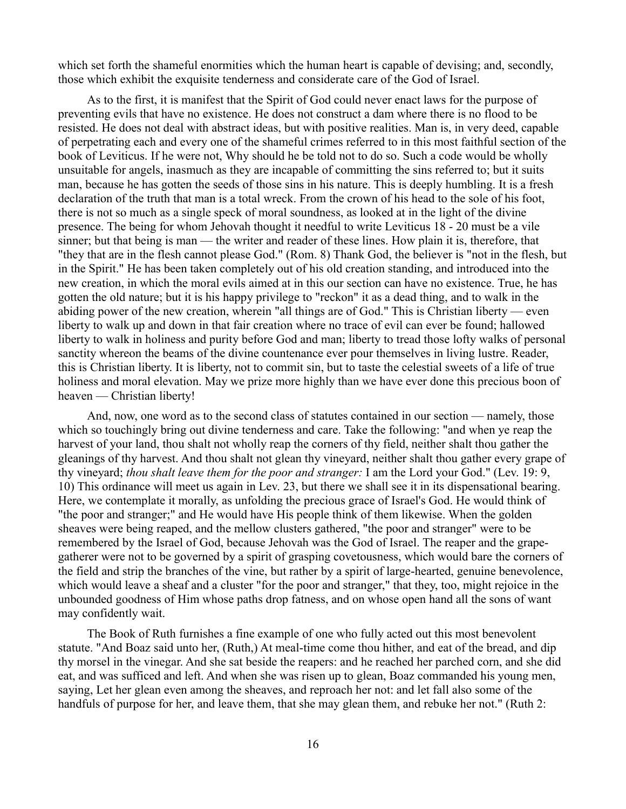which set forth the shameful enormities which the human heart is capable of devising; and, secondly, those which exhibit the exquisite tenderness and considerate care of the God of Israel.

As to the first, it is manifest that the Spirit of God could never enact laws for the purpose of preventing evils that have no existence. He does not construct a dam where there is no flood to be resisted. He does not deal with abstract ideas, but with positive realities. Man is, in very deed, capable of perpetrating each and every one of the shameful crimes referred to in this most faithful section of the book of Leviticus. If he were not, Why should he be told not to do so. Such a code would be wholly unsuitable for angels, inasmuch as they are incapable of committing the sins referred to; but it suits man, because he has gotten the seeds of those sins in his nature. This is deeply humbling. It is a fresh declaration of the truth that man is a total wreck. From the crown of his head to the sole of his foot, there is not so much as a single speck of moral soundness, as looked at in the light of the divine presence. The being for whom Jehovah thought it needful to write Leviticus 18 - 20 must be a vile sinner; but that being is man — the writer and reader of these lines. How plain it is, therefore, that "they that are in the flesh cannot please God." (Rom. 8) Thank God, the believer is "not in the flesh, but in the Spirit." He has been taken completely out of his old creation standing, and introduced into the new creation, in which the moral evils aimed at in this our section can have no existence. True, he has gotten the old nature; but it is his happy privilege to "reckon" it as a dead thing, and to walk in the abiding power of the new creation, wherein "all things are of God." This is Christian liberty — even liberty to walk up and down in that fair creation where no trace of evil can ever be found; hallowed liberty to walk in holiness and purity before God and man; liberty to tread those lofty walks of personal sanctity whereon the beams of the divine countenance ever pour themselves in living lustre. Reader, this is Christian liberty. It is liberty, not to commit sin, but to taste the celestial sweets of a life of true holiness and moral elevation. May we prize more highly than we have ever done this precious boon of heaven — Christian liberty!

And, now, one word as to the second class of statutes contained in our section — namely, those which so touchingly bring out divine tenderness and care. Take the following: "and when ye reap the harvest of your land, thou shalt not wholly reap the corners of thy field, neither shalt thou gather the gleanings of thy harvest. And thou shalt not glean thy vineyard, neither shalt thou gather every grape of thy vineyard; *thou shalt leave them for the poor and stranger:* I am the Lord your God." (Lev. 19: 9, 10) This ordinance will meet us again in Lev. 23, but there we shall see it in its dispensational bearing. Here, we contemplate it morally, as unfolding the precious grace of Israel's God. He would think of "the poor and stranger;" and He would have His people think of them likewise. When the golden sheaves were being reaped, and the mellow clusters gathered, "the poor and stranger" were to be remembered by the Israel of God, because Jehovah was the God of Israel. The reaper and the grapegatherer were not to be governed by a spirit of grasping covetousness, which would bare the corners of the field and strip the branches of the vine, but rather by a spirit of large-hearted, genuine benevolence, which would leave a sheaf and a cluster "for the poor and stranger," that they, too, might rejoice in the unbounded goodness of Him whose paths drop fatness, and on whose open hand all the sons of want may confidently wait.

The Book of Ruth furnishes a fine example of one who fully acted out this most benevolent statute. "And Boaz said unto her, (Ruth,) At meal-time come thou hither, and eat of the bread, and dip thy morsel in the vinegar. And she sat beside the reapers: and he reached her parched corn, and she did eat, and was sufficed and left. And when she was risen up to glean, Boaz commanded his young men, saying, Let her glean even among the sheaves, and reproach her not: and let fall also some of the handfuls of purpose for her, and leave them, that she may glean them, and rebuke her not." (Ruth 2: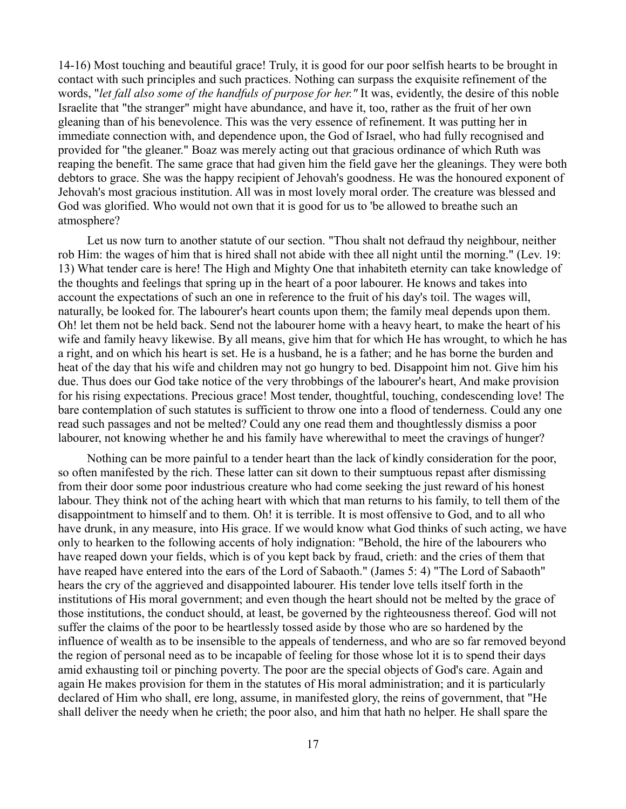14-16) Most touching and beautiful grace! Truly, it is good for our poor selfish hearts to be brought in contact with such principles and such practices. Nothing can surpass the exquisite refinement of the words, "*let fall also some of the handfuls of purpose for her."* It was, evidently, the desire of this noble Israelite that "the stranger" might have abundance, and have it, too, rather as the fruit of her own gleaning than of his benevolence. This was the very essence of refinement. It was putting her in immediate connection with, and dependence upon, the God of Israel, who had fully recognised and provided for "the gleaner." Boaz was merely acting out that gracious ordinance of which Ruth was reaping the benefit. The same grace that had given him the field gave her the gleanings. They were both debtors to grace. She was the happy recipient of Jehovah's goodness. He was the honoured exponent of Jehovah's most gracious institution. All was in most lovely moral order. The creature was blessed and God was glorified. Who would not own that it is good for us to 'be allowed to breathe such an atmosphere?

Let us now turn to another statute of our section. "Thou shalt not defraud thy neighbour, neither rob Him: the wages of him that is hired shall not abide with thee all night until the morning." (Lev. 19: 13) What tender care is here! The High and Mighty One that inhabiteth eternity can take knowledge of the thoughts and feelings that spring up in the heart of a poor labourer. He knows and takes into account the expectations of such an one in reference to the fruit of his day's toil. The wages will, naturally, be looked for. The labourer's heart counts upon them; the family meal depends upon them. Oh! let them not be held back. Send not the labourer home with a heavy heart, to make the heart of his wife and family heavy likewise. By all means, give him that for which He has wrought, to which he has a right, and on which his heart is set. He is a husband, he is a father; and he has borne the burden and heat of the day that his wife and children may not go hungry to bed. Disappoint him not. Give him his due. Thus does our God take notice of the very throbbings of the labourer's heart, And make provision for his rising expectations. Precious grace! Most tender, thoughtful, touching, condescending love! The bare contemplation of such statutes is sufficient to throw one into a flood of tenderness. Could any one read such passages and not be melted? Could any one read them and thoughtlessly dismiss a poor labourer, not knowing whether he and his family have wherewithal to meet the cravings of hunger?

Nothing can be more painful to a tender heart than the lack of kindly consideration for the poor, so often manifested by the rich. These latter can sit down to their sumptuous repast after dismissing from their door some poor industrious creature who had come seeking the just reward of his honest labour. They think not of the aching heart with which that man returns to his family, to tell them of the disappointment to himself and to them. Oh! it is terrible. It is most offensive to God, and to all who have drunk, in any measure, into His grace. If we would know what God thinks of such acting, we have only to hearken to the following accents of holy indignation: "Behold, the hire of the labourers who have reaped down your fields, which is of you kept back by fraud, crieth: and the cries of them that have reaped have entered into the ears of the Lord of Sabaoth." (James 5: 4) "The Lord of Sabaoth" hears the cry of the aggrieved and disappointed labourer. His tender love tells itself forth in the institutions of His moral government; and even though the heart should not be melted by the grace of those institutions, the conduct should, at least, be governed by the righteousness thereof. God will not suffer the claims of the poor to be heartlessly tossed aside by those who are so hardened by the influence of wealth as to be insensible to the appeals of tenderness, and who are so far removed beyond the region of personal need as to be incapable of feeling for those whose lot it is to spend their days amid exhausting toil or pinching poverty. The poor are the special objects of God's care. Again and again He makes provision for them in the statutes of His moral administration; and it is particularly declared of Him who shall, ere long, assume, in manifested glory, the reins of government, that "He shall deliver the needy when he crieth; the poor also, and him that hath no helper. He shall spare the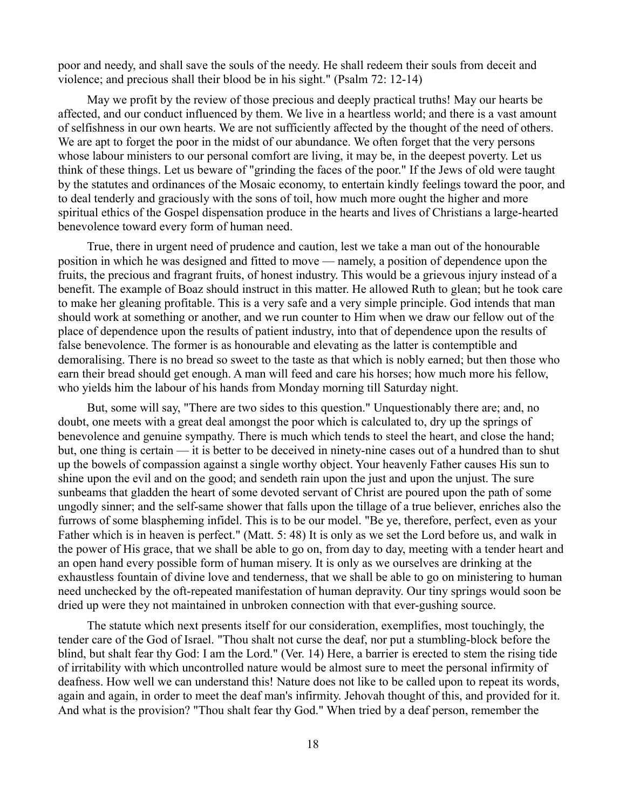poor and needy, and shall save the souls of the needy. He shall redeem their souls from deceit and violence; and precious shall their blood be in his sight." (Psalm 72: 12-14)

May we profit by the review of those precious and deeply practical truths! May our hearts be affected, and our conduct influenced by them. We live in a heartless world; and there is a vast amount of selfishness in our own hearts. We are not sufficiently affected by the thought of the need of others. We are apt to forget the poor in the midst of our abundance. We often forget that the very persons whose labour ministers to our personal comfort are living, it may be, in the deepest poverty. Let us think of these things. Let us beware of "grinding the faces of the poor." If the Jews of old were taught by the statutes and ordinances of the Mosaic economy, to entertain kindly feelings toward the poor, and to deal tenderly and graciously with the sons of toil, how much more ought the higher and more spiritual ethics of the Gospel dispensation produce in the hearts and lives of Christians a large-hearted benevolence toward every form of human need.

True, there in urgent need of prudence and caution, lest we take a man out of the honourable position in which he was designed and fitted to move — namely, a position of dependence upon the fruits, the precious and fragrant fruits, of honest industry. This would be a grievous injury instead of a benefit. The example of Boaz should instruct in this matter. He allowed Ruth to glean; but he took care to make her gleaning profitable. This is a very safe and a very simple principle. God intends that man should work at something or another, and we run counter to Him when we draw our fellow out of the place of dependence upon the results of patient industry, into that of dependence upon the results of false benevolence. The former is as honourable and elevating as the latter is contemptible and demoralising. There is no bread so sweet to the taste as that which is nobly earned; but then those who earn their bread should get enough. A man will feed and care his horses; how much more his fellow, who yields him the labour of his hands from Monday morning till Saturday night.

But, some will say, "There are two sides to this question." Unquestionably there are; and, no doubt, one meets with a great deal amongst the poor which is calculated to, dry up the springs of benevolence and genuine sympathy. There is much which tends to steel the heart, and close the hand; but, one thing is certain — it is better to be deceived in ninety-nine cases out of a hundred than to shut up the bowels of compassion against a single worthy object. Your heavenly Father causes His sun to shine upon the evil and on the good; and sendeth rain upon the just and upon the unjust. The sure sunbeams that gladden the heart of some devoted servant of Christ are poured upon the path of some ungodly sinner; and the self-same shower that falls upon the tillage of a true believer, enriches also the furrows of some blaspheming infidel. This is to be our model. "Be ye, therefore, perfect, even as your Father which is in heaven is perfect." (Matt. 5: 48) It is only as we set the Lord before us, and walk in the power of His grace, that we shall be able to go on, from day to day, meeting with a tender heart and an open hand every possible form of human misery. It is only as we ourselves are drinking at the exhaustless fountain of divine love and tenderness, that we shall be able to go on ministering to human need unchecked by the oft-repeated manifestation of human depravity. Our tiny springs would soon be dried up were they not maintained in unbroken connection with that ever-gushing source.

The statute which next presents itself for our consideration, exemplifies, most touchingly, the tender care of the God of Israel. "Thou shalt not curse the deaf, nor put a stumbling-block before the blind, but shalt fear thy God: I am the Lord." (Ver. 14) Here, a barrier is erected to stem the rising tide of irritability with which uncontrolled nature would be almost sure to meet the personal infirmity of deafness. How well we can understand this! Nature does not like to be called upon to repeat its words, again and again, in order to meet the deaf man's infirmity. Jehovah thought of this, and provided for it. And what is the provision? "Thou shalt fear thy God." When tried by a deaf person, remember the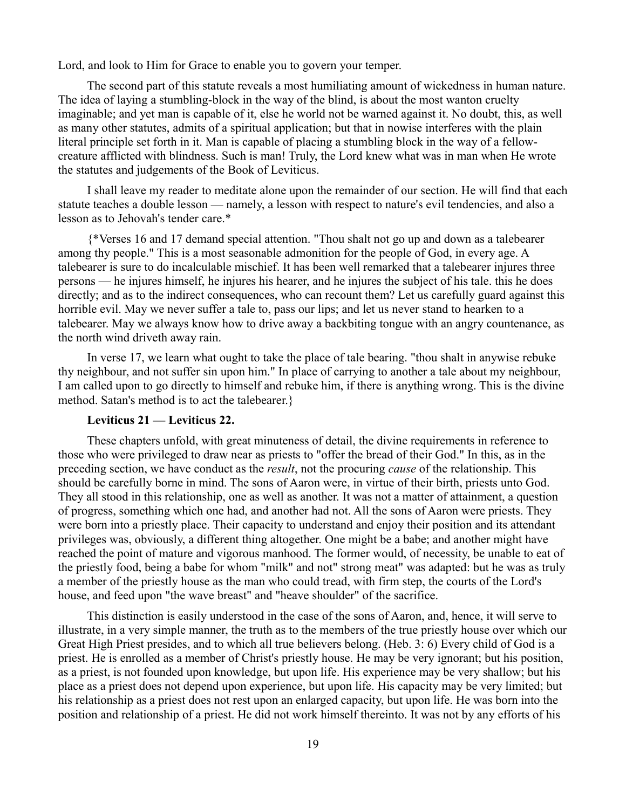Lord, and look to Him for Grace to enable you to govern your temper.

The second part of this statute reveals a most humiliating amount of wickedness in human nature. The idea of laying a stumbling-block in the way of the blind, is about the most wanton cruelty imaginable; and yet man is capable of it, else he world not be warned against it. No doubt, this, as well as many other statutes, admits of a spiritual application; but that in nowise interferes with the plain literal principle set forth in it. Man is capable of placing a stumbling block in the way of a fellowcreature afflicted with blindness. Such is man! Truly, the Lord knew what was in man when He wrote the statutes and judgements of the Book of Leviticus.

I shall leave my reader to meditate alone upon the remainder of our section. He will find that each statute teaches a double lesson — namely, a lesson with respect to nature's evil tendencies, and also a lesson as to Jehovah's tender care.\*

{\*Verses 16 and 17 demand special attention. "Thou shalt not go up and down as a talebearer among thy people." This is a most seasonable admonition for the people of God, in every age. A talebearer is sure to do incalculable mischief. It has been well remarked that a talebearer injures three persons — he injures himself, he injures his hearer, and he injures the subject of his tale. this he does directly; and as to the indirect consequences, who can recount them? Let us carefully guard against this horrible evil. May we never suffer a tale to, pass our lips; and let us never stand to hearken to a talebearer. May we always know how to drive away a backbiting tongue with an angry countenance, as the north wind driveth away rain.

In verse 17, we learn what ought to take the place of tale bearing. "thou shalt in anywise rebuke thy neighbour, and not suffer sin upon him." In place of carrying to another a tale about my neighbour, I am called upon to go directly to himself and rebuke him, if there is anything wrong. This is the divine method. Satan's method is to act the talebearer.}

## **Leviticus 21 — Leviticus 22.**

These chapters unfold, with great minuteness of detail, the divine requirements in reference to those who were privileged to draw near as priests to "offer the bread of their God." In this, as in the preceding section, we have conduct as the *result*, not the procuring *cause* of the relationship. This should be carefully borne in mind. The sons of Aaron were, in virtue of their birth, priests unto God. They all stood in this relationship, one as well as another. It was not a matter of attainment, a question of progress, something which one had, and another had not. All the sons of Aaron were priests. They were born into a priestly place. Their capacity to understand and enjoy their position and its attendant privileges was, obviously, a different thing altogether. One might be a babe; and another might have reached the point of mature and vigorous manhood. The former would, of necessity, be unable to eat of the priestly food, being a babe for whom "milk" and not" strong meat" was adapted: but he was as truly a member of the priestly house as the man who could tread, with firm step, the courts of the Lord's house, and feed upon "the wave breast" and "heave shoulder" of the sacrifice.

This distinction is easily understood in the case of the sons of Aaron, and, hence, it will serve to illustrate, in a very simple manner, the truth as to the members of the true priestly house over which our Great High Priest presides, and to which all true believers belong. (Heb. 3: 6) Every child of God is a priest. He is enrolled as a member of Christ's priestly house. He may be very ignorant; but his position, as a priest, is not founded upon knowledge, but upon life. His experience may be very shallow; but his place as a priest does not depend upon experience, but upon life. His capacity may be very limited; but his relationship as a priest does not rest upon an enlarged capacity, but upon life. He was born into the position and relationship of a priest. He did not work himself thereinto. It was not by any efforts of his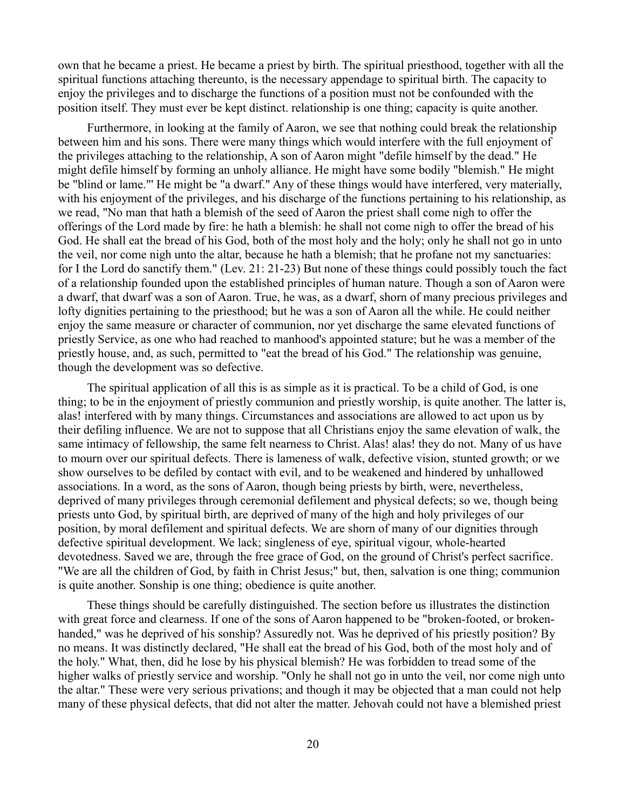own that he became a priest. He became a priest by birth. The spiritual priesthood, together with all the spiritual functions attaching thereunto, is the necessary appendage to spiritual birth. The capacity to enjoy the privileges and to discharge the functions of a position must not be confounded with the position itself. They must ever be kept distinct. relationship is one thing; capacity is quite another.

Furthermore, in looking at the family of Aaron, we see that nothing could break the relationship between him and his sons. There were many things which would interfere with the full enjoyment of the privileges attaching to the relationship, A son of Aaron might "defile himself by the dead." He might defile himself by forming an unholy alliance. He might have some bodily "blemish." He might be "blind or lame."' He might be "a dwarf." Any of these things would have interfered, very materially, with his enjoyment of the privileges, and his discharge of the functions pertaining to his relationship, as we read, "No man that hath a blemish of the seed of Aaron the priest shall come nigh to offer the offerings of the Lord made by fire: he hath a blemish: he shall not come nigh to offer the bread of his God. He shall eat the bread of his God, both of the most holy and the holy; only he shall not go in unto the veil, nor come nigh unto the altar, because he hath a blemish; that he profane not my sanctuaries: for I the Lord do sanctify them." (Lev. 21: 21-23) But none of these things could possibly touch the fact of a relationship founded upon the established principles of human nature. Though a son of Aaron were a dwarf, that dwarf was a son of Aaron. True, he was, as a dwarf, shorn of many precious privileges and lofty dignities pertaining to the priesthood; but he was a son of Aaron all the while. He could neither enjoy the same measure or character of communion, nor yet discharge the same elevated functions of priestly Service, as one who had reached to manhood's appointed stature; but he was a member of the priestly house, and, as such, permitted to "eat the bread of his God." The relationship was genuine, though the development was so defective.

The spiritual application of all this is as simple as it is practical. To be a child of God, is one thing; to be in the enjoyment of priestly communion and priestly worship, is quite another. The latter is, alas! interfered with by many things. Circumstances and associations are allowed to act upon us by their defiling influence. We are not to suppose that all Christians enjoy the same elevation of walk, the same intimacy of fellowship, the same felt nearness to Christ. Alas! alas! they do not. Many of us have to mourn over our spiritual defects. There is lameness of walk, defective vision, stunted growth; or we show ourselves to be defiled by contact with evil, and to be weakened and hindered by unhallowed associations. In a word, as the sons of Aaron, though being priests by birth, were, nevertheless, deprived of many privileges through ceremonial defilement and physical defects; so we, though being priests unto God, by spiritual birth, are deprived of many of the high and holy privileges of our position, by moral defilement and spiritual defects. We are shorn of many of our dignities through defective spiritual development. We lack; singleness of eye, spiritual vigour, whole-hearted devotedness. Saved we are, through the free grace of God, on the ground of Christ's perfect sacrifice. "We are all the children of God, by faith in Christ Jesus;" but, then, salvation is one thing; communion is quite another. Sonship is one thing; obedience is quite another.

These things should be carefully distinguished. The section before us illustrates the distinction with great force and clearness. If one of the sons of Aaron happened to be "broken-footed, or brokenhanded," was he deprived of his sonship? Assuredly not. Was he deprived of his priestly position? By no means. It was distinctly declared, "He shall eat the bread of his God, both of the most holy and of the holy." What, then, did he lose by his physical blemish? He was forbidden to tread some of the higher walks of priestly service and worship. "Only he shall not go in unto the veil, nor come nigh unto the altar." These were very serious privations; and though it may be objected that a man could not help many of these physical defects, that did not alter the matter. Jehovah could not have a blemished priest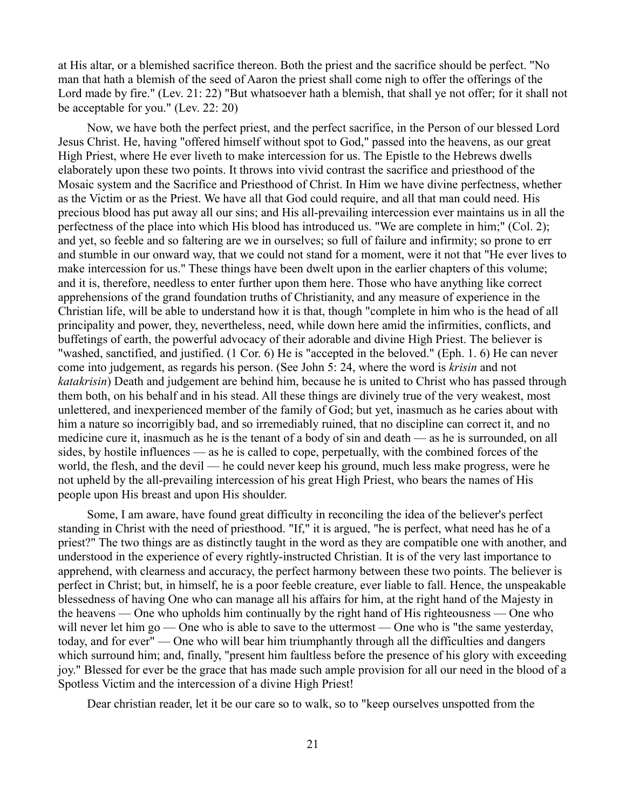at His altar, or a blemished sacrifice thereon. Both the priest and the sacrifice should be perfect. "No man that hath a blemish of the seed of Aaron the priest shall come nigh to offer the offerings of the Lord made by fire." (Lev. 21: 22) "But whatsoever hath a blemish, that shall ye not offer; for it shall not be acceptable for you." (Lev. 22: 20)

Now, we have both the perfect priest, and the perfect sacrifice, in the Person of our blessed Lord Jesus Christ. He, having "offered himself without spot to God," passed into the heavens, as our great High Priest, where He ever liveth to make intercession for us. The Epistle to the Hebrews dwells elaborately upon these two points. It throws into vivid contrast the sacrifice and priesthood of the Mosaic system and the Sacrifice and Priesthood of Christ. In Him we have divine perfectness, whether as the Victim or as the Priest. We have all that God could require, and all that man could need. His precious blood has put away all our sins; and His all-prevailing intercession ever maintains us in all the perfectness of the place into which His blood has introduced us. "We are complete in him;" (Col. 2); and yet, so feeble and so faltering are we in ourselves; so full of failure and infirmity; so prone to err and stumble in our onward way, that we could not stand for a moment, were it not that "He ever lives to make intercession for us." These things have been dwelt upon in the earlier chapters of this volume; and it is, therefore, needless to enter further upon them here. Those who have anything like correct apprehensions of the grand foundation truths of Christianity, and any measure of experience in the Christian life, will be able to understand how it is that, though "complete in him who is the head of all principality and power, they, nevertheless, need, while down here amid the infirmities, conflicts, and buffetings of earth, the powerful advocacy of their adorable and divine High Priest. The believer is "washed, sanctified, and justified. (1 Cor. 6) He is "accepted in the beloved." (Eph. 1. 6) He can never come into judgement, as regards his person. (See John 5: 24, where the word is *krisin* and not *katakrisin*) Death and judgement are behind him, because he is united to Christ who has passed through them both, on his behalf and in his stead. All these things are divinely true of the very weakest, most unlettered, and inexperienced member of the family of God; but yet, inasmuch as he caries about with him a nature so incorrigibly bad, and so irremediably ruined, that no discipline can correct it, and no medicine cure it, inasmuch as he is the tenant of a body of sin and death — as he is surrounded, on all sides, by hostile influences — as he is called to cope, perpetually, with the combined forces of the world, the flesh, and the devil — he could never keep his ground, much less make progress, were he not upheld by the all-prevailing intercession of his great High Priest, who bears the names of His people upon His breast and upon His shoulder.

Some, I am aware, have found great difficulty in reconciling the idea of the believer's perfect standing in Christ with the need of priesthood. "If," it is argued, "he is perfect, what need has he of a priest?" The two things are as distinctly taught in the word as they are compatible one with another, and understood in the experience of every rightly-instructed Christian. It is of the very last importance to apprehend, with clearness and accuracy, the perfect harmony between these two points. The believer is perfect in Christ; but, in himself, he is a poor feeble creature, ever liable to fall. Hence, the unspeakable blessedness of having One who can manage all his affairs for him, at the right hand of the Majesty in the heavens — One who upholds him continually by the right hand of His righteousness — One who will never let him go — One who is able to save to the uttermost — One who is "the same yesterday, today, and for ever" — One who will bear him triumphantly through all the difficulties and dangers which surround him; and, finally, "present him faultless before the presence of his glory with exceeding joy." Blessed for ever be the grace that has made such ample provision for all our need in the blood of a Spotless Victim and the intercession of a divine High Priest!

Dear christian reader, let it be our care so to walk, so to "keep ourselves unspotted from the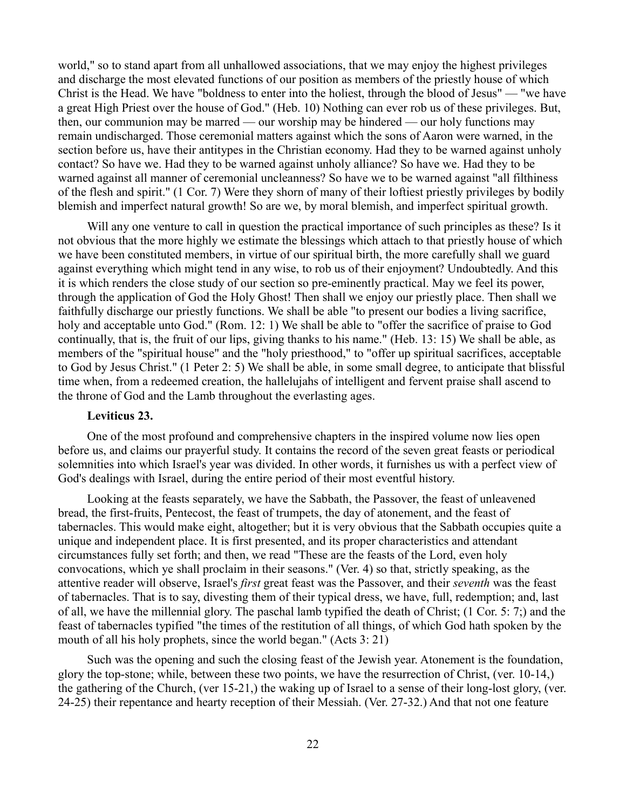world," so to stand apart from all unhallowed associations, that we may enjoy the highest privileges and discharge the most elevated functions of our position as members of the priestly house of which Christ is the Head. We have "boldness to enter into the holiest, through the blood of Jesus" — "we have a great High Priest over the house of God." (Heb. 10) Nothing can ever rob us of these privileges. But, then, our communion may be marred — our worship may be hindered — our holy functions may remain undischarged. Those ceremonial matters against which the sons of Aaron were warned, in the section before us, have their antitypes in the Christian economy. Had they to be warned against unholy contact? So have we. Had they to be warned against unholy alliance? So have we. Had they to be warned against all manner of ceremonial uncleanness? So have we to be warned against "all filthiness of the flesh and spirit." (1 Cor. 7) Were they shorn of many of their loftiest priestly privileges by bodily blemish and imperfect natural growth! So are we, by moral blemish, and imperfect spiritual growth.

Will any one venture to call in question the practical importance of such principles as these? Is it not obvious that the more highly we estimate the blessings which attach to that priestly house of which we have been constituted members, in virtue of our spiritual birth, the more carefully shall we guard against everything which might tend in any wise, to rob us of their enjoyment? Undoubtedly. And this it is which renders the close study of our section so pre-eminently practical. May we feel its power, through the application of God the Holy Ghost! Then shall we enjoy our priestly place. Then shall we faithfully discharge our priestly functions. We shall be able "to present our bodies a living sacrifice, holy and acceptable unto God." (Rom. 12: 1) We shall be able to "offer the sacrifice of praise to God continually, that is, the fruit of our lips, giving thanks to his name." (Heb. 13: 15) We shall be able, as members of the "spiritual house" and the "holy priesthood," to "offer up spiritual sacrifices, acceptable to God by Jesus Christ." (1 Peter 2: 5) We shall be able, in some small degree, to anticipate that blissful time when, from a redeemed creation, the hallelujahs of intelligent and fervent praise shall ascend to the throne of God and the Lamb throughout the everlasting ages.

#### **Leviticus 23.**

One of the most profound and comprehensive chapters in the inspired volume now lies open before us, and claims our prayerful study. It contains the record of the seven great feasts or periodical solemnities into which Israel's year was divided. In other words, it furnishes us with a perfect view of God's dealings with Israel, during the entire period of their most eventful history.

Looking at the feasts separately, we have the Sabbath, the Passover, the feast of unleavened bread, the first-fruits, Pentecost, the feast of trumpets, the day of atonement, and the feast of tabernacles. This would make eight, altogether; but it is very obvious that the Sabbath occupies quite a unique and independent place. It is first presented, and its proper characteristics and attendant circumstances fully set forth; and then, we read "These are the feasts of the Lord, even holy convocations, which ye shall proclaim in their seasons." (Ver. 4) so that, strictly speaking, as the attentive reader will observe, Israel's *first* great feast was the Passover, and their *seventh* was the feast of tabernacles. That is to say, divesting them of their typical dress, we have, full, redemption; and, last of all, we have the millennial glory. The paschal lamb typified the death of Christ; (1 Cor. 5: 7;) and the feast of tabernacles typified "the times of the restitution of all things, of which God hath spoken by the mouth of all his holy prophets, since the world began." (Acts 3: 21)

Such was the opening and such the closing feast of the Jewish year. Atonement is the foundation, glory the top-stone; while, between these two points, we have the resurrection of Christ, (ver. 10-14,) the gathering of the Church, (ver 15-21,) the waking up of Israel to a sense of their long-lost glory, (ver. 24-25) their repentance and hearty reception of their Messiah. (Ver. 27-32.) And that not one feature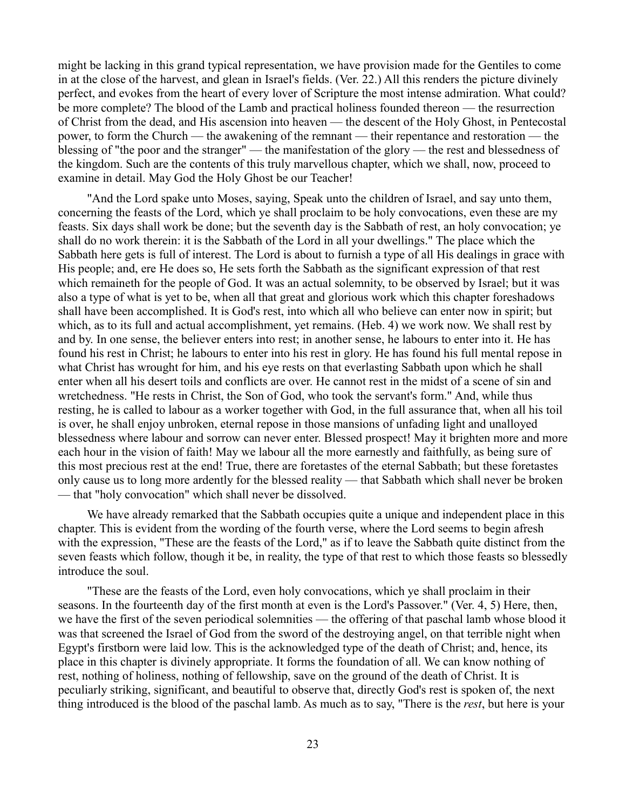might be lacking in this grand typical representation, we have provision made for the Gentiles to come in at the close of the harvest, and glean in Israel's fields. (Ver. 22.) All this renders the picture divinely perfect, and evokes from the heart of every lover of Scripture the most intense admiration. What could? be more complete? The blood of the Lamb and practical holiness founded thereon — the resurrection of Christ from the dead, and His ascension into heaven — the descent of the Holy Ghost, in Pentecostal power, to form the Church — the awakening of the remnant — their repentance and restoration — the blessing of "the poor and the stranger" — the manifestation of the glory — the rest and blessedness of the kingdom. Such are the contents of this truly marvellous chapter, which we shall, now, proceed to examine in detail. May God the Holy Ghost be our Teacher!

"And the Lord spake unto Moses, saying, Speak unto the children of Israel, and say unto them, concerning the feasts of the Lord, which ye shall proclaim to be holy convocations, even these are my feasts. Six days shall work be done; but the seventh day is the Sabbath of rest, an holy convocation; ye shall do no work therein: it is the Sabbath of the Lord in all your dwellings." The place which the Sabbath here gets is full of interest. The Lord is about to furnish a type of all His dealings in grace with His people; and, ere He does so, He sets forth the Sabbath as the significant expression of that rest which remaineth for the people of God. It was an actual solemnity, to be observed by Israel; but it was also a type of what is yet to be, when all that great and glorious work which this chapter foreshadows shall have been accomplished. It is God's rest, into which all who believe can enter now in spirit; but which, as to its full and actual accomplishment, yet remains. (Heb. 4) we work now. We shall rest by and by. In one sense, the believer enters into rest; in another sense, he labours to enter into it. He has found his rest in Christ; he labours to enter into his rest in glory. He has found his full mental repose in what Christ has wrought for him, and his eye rests on that everlasting Sabbath upon which he shall enter when all his desert toils and conflicts are over. He cannot rest in the midst of a scene of sin and wretchedness. "He rests in Christ, the Son of God, who took the servant's form." And, while thus resting, he is called to labour as a worker together with God, in the full assurance that, when all his toil is over, he shall enjoy unbroken, eternal repose in those mansions of unfading light and unalloyed blessedness where labour and sorrow can never enter. Blessed prospect! May it brighten more and more each hour in the vision of faith! May we labour all the more earnestly and faithfully, as being sure of this most precious rest at the end! True, there are foretastes of the eternal Sabbath; but these foretastes only cause us to long more ardently for the blessed reality — that Sabbath which shall never be broken — that "holy convocation" which shall never be dissolved.

We have already remarked that the Sabbath occupies quite a unique and independent place in this chapter. This is evident from the wording of the fourth verse, where the Lord seems to begin afresh with the expression, "These are the feasts of the Lord," as if to leave the Sabbath quite distinct from the seven feasts which follow, though it be, in reality, the type of that rest to which those feasts so blessedly introduce the soul.

"These are the feasts of the Lord, even holy convocations, which ye shall proclaim in their seasons. In the fourteenth day of the first month at even is the Lord's Passover." (Ver. 4, 5) Here, then, we have the first of the seven periodical solemnities — the offering of that paschal lamb whose blood it was that screened the Israel of God from the sword of the destroying angel, on that terrible night when Egypt's firstborn were laid low. This is the acknowledged type of the death of Christ; and, hence, its place in this chapter is divinely appropriate. It forms the foundation of all. We can know nothing of rest, nothing of holiness, nothing of fellowship, save on the ground of the death of Christ. It is peculiarly striking, significant, and beautiful to observe that, directly God's rest is spoken of, the next thing introduced is the blood of the paschal lamb. As much as to say, "There is the *rest*, but here is your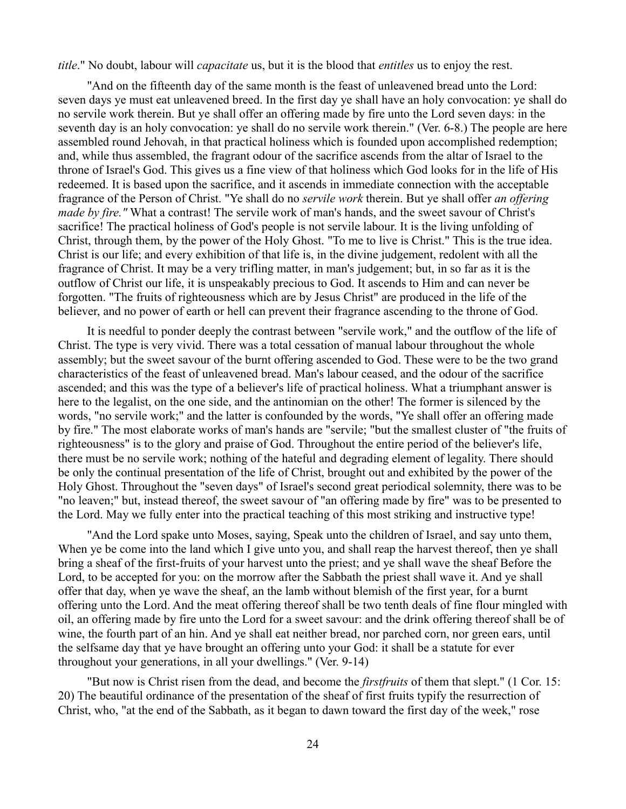*title*." No doubt, labour will *capacitate* us, but it is the blood that *entitles* us to enjoy the rest.

"And on the fifteenth day of the same month is the feast of unleavened bread unto the Lord: seven days ye must eat unleavened breed. In the first day ye shall have an holy convocation: ye shall do no servile work therein. But ye shall offer an offering made by fire unto the Lord seven days: in the seventh day is an holy convocation: ye shall do no servile work therein." (Ver. 6-8.) The people are here assembled round Jehovah, in that practical holiness which is founded upon accomplished redemption; and, while thus assembled, the fragrant odour of the sacrifice ascends from the altar of Israel to the throne of Israel's God. This gives us a fine view of that holiness which God looks for in the life of His redeemed. It is based upon the sacrifice, and it ascends in immediate connection with the acceptable fragrance of the Person of Christ. "Ye shall do no *servile work* therein. But ye shall offer *an offering made by fire."* What a contrast! The servile work of man's hands, and the sweet savour of Christ's sacrifice! The practical holiness of God's people is not servile labour. It is the living unfolding of Christ, through them, by the power of the Holy Ghost. "To me to live is Christ." This is the true idea. Christ is our life; and every exhibition of that life is, in the divine judgement, redolent with all the fragrance of Christ. It may be a very trifling matter, in man's judgement; but, in so far as it is the outflow of Christ our life, it is unspeakably precious to God. It ascends to Him and can never be forgotten. "The fruits of righteousness which are by Jesus Christ" are produced in the life of the believer, and no power of earth or hell can prevent their fragrance ascending to the throne of God.

It is needful to ponder deeply the contrast between "servile work," and the outflow of the life of Christ. The type is very vivid. There was a total cessation of manual labour throughout the whole assembly; but the sweet savour of the burnt offering ascended to God. These were to be the two grand characteristics of the feast of unleavened bread. Man's labour ceased, and the odour of the sacrifice ascended; and this was the type of a believer's life of practical holiness. What a triumphant answer is here to the legalist, on the one side, and the antinomian on the other! The former is silenced by the words, "no servile work;" and the latter is confounded by the words, "Ye shall offer an offering made by fire." The most elaborate works of man's hands are "servile; "but the smallest cluster of "the fruits of righteousness" is to the glory and praise of God. Throughout the entire period of the believer's life, there must be no servile work; nothing of the hateful and degrading element of legality. There should be only the continual presentation of the life of Christ, brought out and exhibited by the power of the Holy Ghost. Throughout the "seven days" of Israel's second great periodical solemnity, there was to be "no leaven;" but, instead thereof, the sweet savour of "an offering made by fire" was to be presented to the Lord. May we fully enter into the practical teaching of this most striking and instructive type!

"And the Lord spake unto Moses, saying, Speak unto the children of Israel, and say unto them, When ye be come into the land which I give unto you, and shall reap the harvest thereof, then ye shall bring a sheaf of the first-fruits of your harvest unto the priest; and ye shall wave the sheaf Before the Lord, to be accepted for you: on the morrow after the Sabbath the priest shall wave it. And ye shall offer that day, when ye wave the sheaf, an the lamb without blemish of the first year, for a burnt offering unto the Lord. And the meat offering thereof shall be two tenth deals of fine flour mingled with oil, an offering made by fire unto the Lord for a sweet savour: and the drink offering thereof shall be of wine, the fourth part of an hin. And ye shall eat neither bread, nor parched corn, nor green ears, until the selfsame day that ye have brought an offering unto your God: it shall be a statute for ever throughout your generations, in all your dwellings." (Ver. 9-14)

"But now is Christ risen from the dead, and become the *firstfruits* of them that slept." (1 Cor. 15: 20) The beautiful ordinance of the presentation of the sheaf of first fruits typify the resurrection of Christ, who, "at the end of the Sabbath, as it began to dawn toward the first day of the week," rose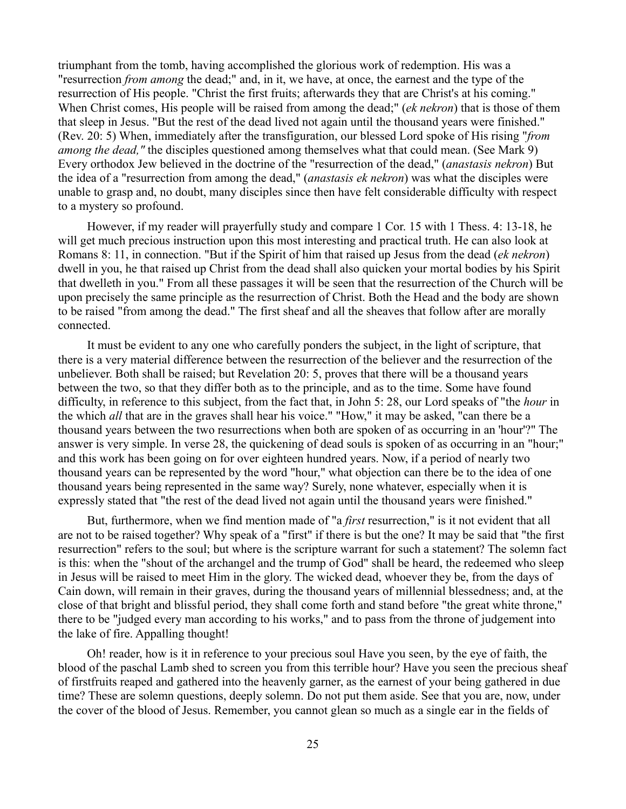triumphant from the tomb, having accomplished the glorious work of redemption. His was a "resurrection *from among* the dead;" and, in it, we have, at once, the earnest and the type of the resurrection of His people. "Christ the first fruits; afterwards they that are Christ's at his coming." When Christ comes, His people will be raised from among the dead;" (*ek nekron*) that is those of them that sleep in Jesus. "But the rest of the dead lived not again until the thousand years were finished." (Rev. 20: 5) When, immediately after the transfiguration, our blessed Lord spoke of His rising "*from among the dead,*" the disciples questioned among themselves what that could mean. (See Mark 9) Every orthodox Jew believed in the doctrine of the "resurrection of the dead," (*anastasis nekron*) But the idea of a "resurrection from among the dead," (*anastasis ek nekron*) was what the disciples were unable to grasp and, no doubt, many disciples since then have felt considerable difficulty with respect to a mystery so profound.

However, if my reader will prayerfully study and compare 1 Cor. 15 with 1 Thess. 4: 13-18, he will get much precious instruction upon this most interesting and practical truth. He can also look at Romans 8: 11, in connection. "But if the Spirit of him that raised up Jesus from the dead (*ek nekron*) dwell in you, he that raised up Christ from the dead shall also quicken your mortal bodies by his Spirit that dwelleth in you." From all these passages it will be seen that the resurrection of the Church will be upon precisely the same principle as the resurrection of Christ. Both the Head and the body are shown to be raised "from among the dead." The first sheaf and all the sheaves that follow after are morally connected.

It must be evident to any one who carefully ponders the subject, in the light of scripture, that there is a very material difference between the resurrection of the believer and the resurrection of the unbeliever. Both shall be raised; but Revelation 20: 5, proves that there will be a thousand years between the two, so that they differ both as to the principle, and as to the time. Some have found difficulty, in reference to this subject, from the fact that, in John 5: 28, our Lord speaks of "the *hour* in the which *all* that are in the graves shall hear his voice." "How," it may be asked, "can there be a thousand years between the two resurrections when both are spoken of as occurring in an 'hour'?" The answer is very simple. In verse 28, the quickening of dead souls is spoken of as occurring in an "hour;" and this work has been going on for over eighteen hundred years. Now, if a period of nearly two thousand years can be represented by the word "hour," what objection can there be to the idea of one thousand years being represented in the same way? Surely, none whatever, especially when it is expressly stated that "the rest of the dead lived not again until the thousand years were finished."

But, furthermore, when we find mention made of "a *first* resurrection," is it not evident that all are not to be raised together? Why speak of a "first" if there is but the one? It may be said that "the first resurrection" refers to the soul; but where is the scripture warrant for such a statement? The solemn fact is this: when the "shout of the archangel and the trump of God" shall be heard, the redeemed who sleep in Jesus will be raised to meet Him in the glory. The wicked dead, whoever they be, from the days of Cain down, will remain in their graves, during the thousand years of millennial blessedness; and, at the close of that bright and blissful period, they shall come forth and stand before "the great white throne," there to be "judged every man according to his works," and to pass from the throne of judgement into the lake of fire. Appalling thought!

Oh! reader, how is it in reference to your precious soul Have you seen, by the eye of faith, the blood of the paschal Lamb shed to screen you from this terrible hour? Have you seen the precious sheaf of firstfruits reaped and gathered into the heavenly garner, as the earnest of your being gathered in due time? These are solemn questions, deeply solemn. Do not put them aside. See that you are, now, under the cover of the blood of Jesus. Remember, you cannot glean so much as a single ear in the fields of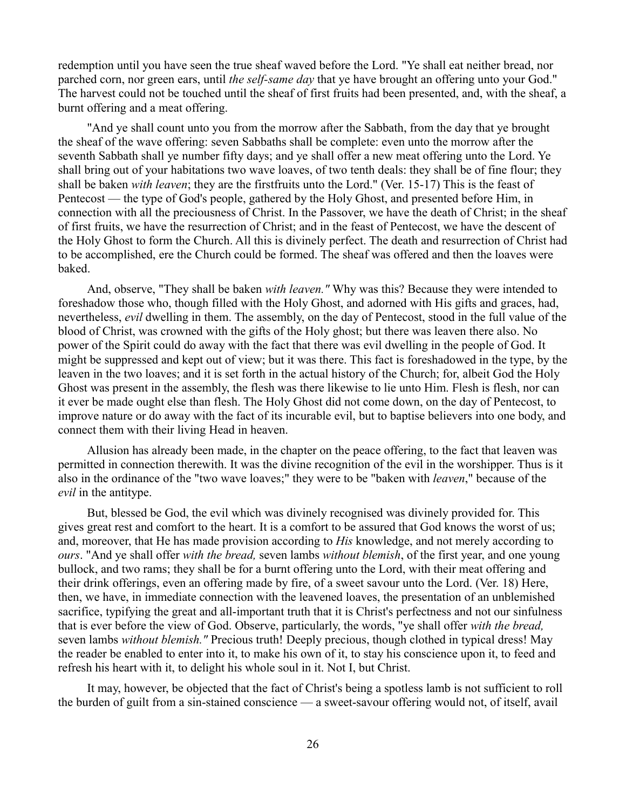redemption until you have seen the true sheaf waved before the Lord. "Ye shall eat neither bread, nor parched corn, nor green ears, until *the self-same day* that ye have brought an offering unto your God." The harvest could not be touched until the sheaf of first fruits had been presented, and, with the sheaf, a burnt offering and a meat offering.

"And ye shall count unto you from the morrow after the Sabbath, from the day that ye brought the sheaf of the wave offering: seven Sabbaths shall be complete: even unto the morrow after the seventh Sabbath shall ye number fifty days; and ye shall offer a new meat offering unto the Lord. Ye shall bring out of your habitations two wave loaves, of two tenth deals: they shall be of fine flour; they shall be baken *with leaven*; they are the firstfruits unto the Lord." (Ver. 15-17) This is the feast of Pentecost — the type of God's people, gathered by the Holy Ghost, and presented before Him, in connection with all the preciousness of Christ. In the Passover, we have the death of Christ; in the sheaf of first fruits, we have the resurrection of Christ; and in the feast of Pentecost, we have the descent of the Holy Ghost to form the Church. All this is divinely perfect. The death and resurrection of Christ had to be accomplished, ere the Church could be formed. The sheaf was offered and then the loaves were baked.

And, observe, "They shall be baken *with leaven."* Why was this? Because they were intended to foreshadow those who, though filled with the Holy Ghost, and adorned with His gifts and graces, had, nevertheless, *evil* dwelling in them. The assembly, on the day of Pentecost, stood in the full value of the blood of Christ, was crowned with the gifts of the Holy ghost; but there was leaven there also. No power of the Spirit could do away with the fact that there was evil dwelling in the people of God. It might be suppressed and kept out of view; but it was there. This fact is foreshadowed in the type, by the leaven in the two loaves; and it is set forth in the actual history of the Church; for, albeit God the Holy Ghost was present in the assembly, the flesh was there likewise to lie unto Him. Flesh is flesh, nor can it ever be made ought else than flesh. The Holy Ghost did not come down, on the day of Pentecost, to improve nature or do away with the fact of its incurable evil, but to baptise believers into one body, and connect them with their living Head in heaven.

Allusion has already been made, in the chapter on the peace offering, to the fact that leaven was permitted in connection therewith. It was the divine recognition of the evil in the worshipper. Thus is it also in the ordinance of the "two wave loaves;" they were to be "baken with *leaven*," because of the *evil* in the antitype.

But, blessed be God, the evil which was divinely recognised was divinely provided for. This gives great rest and comfort to the heart. It is a comfort to be assured that God knows the worst of us; and, moreover, that He has made provision according to *His* knowledge, and not merely according to *ours*. "And ye shall offer *with the bread,* seven lambs *without blemish*, of the first year, and one young bullock, and two rams; they shall be for a burnt offering unto the Lord, with their meat offering and their drink offerings, even an offering made by fire, of a sweet savour unto the Lord. (Ver. 18) Here, then, we have, in immediate connection with the leavened loaves, the presentation of an unblemished sacrifice, typifying the great and all-important truth that it is Christ's perfectness and not our sinfulness that is ever before the view of God. Observe, particularly, the words, "ye shall offer *with the bread,* seven lambs *without blemish."* Precious truth! Deeply precious, though clothed in typical dress! May the reader be enabled to enter into it, to make his own of it, to stay his conscience upon it, to feed and refresh his heart with it, to delight his whole soul in it. Not I, but Christ.

It may, however, be objected that the fact of Christ's being a spotless lamb is not sufficient to roll the burden of guilt from a sin-stained conscience — a sweet-savour offering would not, of itself, avail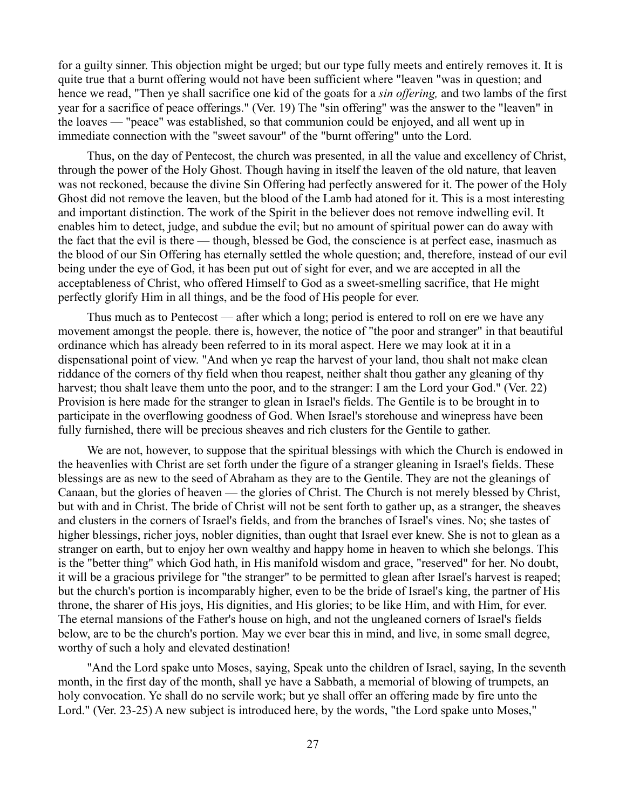for a guilty sinner. This objection might be urged; but our type fully meets and entirely removes it. It is quite true that a burnt offering would not have been sufficient where "leaven "was in question; and hence we read, "Then ye shall sacrifice one kid of the goats for a *sin offering,* and two lambs of the first year for a sacrifice of peace offerings." (Ver. 19) The "sin offering" was the answer to the "leaven" in the loaves — "peace" was established, so that communion could be enjoyed, and all went up in immediate connection with the "sweet savour" of the "burnt offering" unto the Lord.

Thus, on the day of Pentecost, the church was presented, in all the value and excellency of Christ, through the power of the Holy Ghost. Though having in itself the leaven of the old nature, that leaven was not reckoned, because the divine Sin Offering had perfectly answered for it. The power of the Holy Ghost did not remove the leaven, but the blood of the Lamb had atoned for it. This is a most interesting and important distinction. The work of the Spirit in the believer does not remove indwelling evil. It enables him to detect, judge, and subdue the evil; but no amount of spiritual power can do away with the fact that the evil is there — though, blessed be God, the conscience is at perfect ease, inasmuch as the blood of our Sin Offering has eternally settled the whole question; and, therefore, instead of our evil being under the eye of God, it has been put out of sight for ever, and we are accepted in all the acceptableness of Christ, who offered Himself to God as a sweet-smelling sacrifice, that He might perfectly glorify Him in all things, and be the food of His people for ever.

Thus much as to Pentecost — after which a long; period is entered to roll on ere we have any movement amongst the people. there is, however, the notice of "the poor and stranger" in that beautiful ordinance which has already been referred to in its moral aspect. Here we may look at it in a dispensational point of view. "And when ye reap the harvest of your land, thou shalt not make clean riddance of the corners of thy field when thou reapest, neither shalt thou gather any gleaning of thy harvest; thou shalt leave them unto the poor, and to the stranger: I am the Lord your God." (Ver. 22) Provision is here made for the stranger to glean in Israel's fields. The Gentile is to be brought in to participate in the overflowing goodness of God. When Israel's storehouse and winepress have been fully furnished, there will be precious sheaves and rich clusters for the Gentile to gather.

We are not, however, to suppose that the spiritual blessings with which the Church is endowed in the heavenlies with Christ are set forth under the figure of a stranger gleaning in Israel's fields. These blessings are as new to the seed of Abraham as they are to the Gentile. They are not the gleanings of Canaan, but the glories of heaven — the glories of Christ. The Church is not merely blessed by Christ, but with and in Christ. The bride of Christ will not be sent forth to gather up, as a stranger, the sheaves and clusters in the corners of Israel's fields, and from the branches of Israel's vines. No; she tastes of higher blessings, richer joys, nobler dignities, than ought that Israel ever knew. She is not to glean as a stranger on earth, but to enjoy her own wealthy and happy home in heaven to which she belongs. This is the "better thing" which God hath, in His manifold wisdom and grace, "reserved" for her. No doubt, it will be a gracious privilege for "the stranger" to be permitted to glean after Israel's harvest is reaped; but the church's portion is incomparably higher, even to be the bride of Israel's king, the partner of His throne, the sharer of His joys, His dignities, and His glories; to be like Him, and with Him, for ever. The eternal mansions of the Father's house on high, and not the ungleaned corners of Israel's fields below, are to be the church's portion. May we ever bear this in mind, and live, in some small degree, worthy of such a holy and elevated destination!

"And the Lord spake unto Moses, saying, Speak unto the children of Israel, saying, In the seventh month, in the first day of the month, shall ye have a Sabbath, a memorial of blowing of trumpets, an holy convocation. Ye shall do no servile work; but ye shall offer an offering made by fire unto the Lord." (Ver. 23-25) A new subject is introduced here, by the words, "the Lord spake unto Moses,"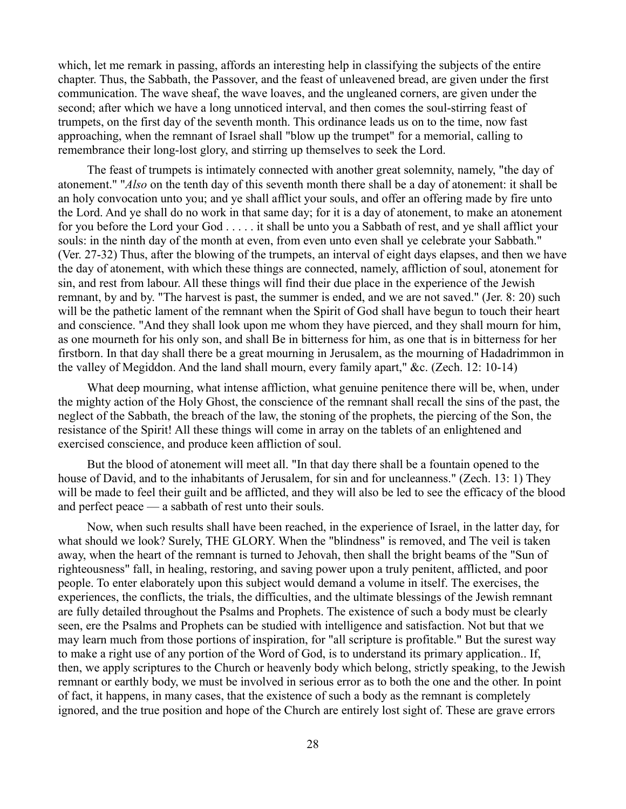which, let me remark in passing, affords an interesting help in classifying the subjects of the entire chapter. Thus, the Sabbath, the Passover, and the feast of unleavened bread, are given under the first communication. The wave sheaf, the wave loaves, and the ungleaned corners, are given under the second; after which we have a long unnoticed interval, and then comes the soul-stirring feast of trumpets, on the first day of the seventh month. This ordinance leads us on to the time, now fast approaching, when the remnant of Israel shall "blow up the trumpet" for a memorial, calling to remembrance their long-lost glory, and stirring up themselves to seek the Lord.

The feast of trumpets is intimately connected with another great solemnity, namely, "the day of atonement." "*Also* on the tenth day of this seventh month there shall be a day of atonement: it shall be an holy convocation unto you; and ye shall afflict your souls, and offer an offering made by fire unto the Lord. And ye shall do no work in that same day; for it is a day of atonement, to make an atonement for you before the Lord your God . . . . . it shall be unto you a Sabbath of rest, and ye shall afflict your souls: in the ninth day of the month at even, from even unto even shall ye celebrate your Sabbath." (Ver. 27-32) Thus, after the blowing of the trumpets, an interval of eight days elapses, and then we have the day of atonement, with which these things are connected, namely, affliction of soul, atonement for sin, and rest from labour. All these things will find their due place in the experience of the Jewish remnant, by and by. "The harvest is past, the summer is ended, and we are not saved." (Jer. 8: 20) such will be the pathetic lament of the remnant when the Spirit of God shall have begun to touch their heart and conscience. "And they shall look upon me whom they have pierced, and they shall mourn for him, as one mourneth for his only son, and shall Be in bitterness for him, as one that is in bitterness for her firstborn. In that day shall there be a great mourning in Jerusalem, as the mourning of Hadadrimmon in the valley of Megiddon. And the land shall mourn, every family apart," &c. (Zech. 12: 10-14)

What deep mourning, what intense affliction, what genuine penitence there will be, when, under the mighty action of the Holy Ghost, the conscience of the remnant shall recall the sins of the past, the neglect of the Sabbath, the breach of the law, the stoning of the prophets, the piercing of the Son, the resistance of the Spirit! All these things will come in array on the tablets of an enlightened and exercised conscience, and produce keen affliction of soul.

But the blood of atonement will meet all. "In that day there shall be a fountain opened to the house of David, and to the inhabitants of Jerusalem, for sin and for uncleanness." (Zech. 13: 1) They will be made to feel their guilt and be afflicted, and they will also be led to see the efficacy of the blood and perfect peace — a sabbath of rest unto their souls.

Now, when such results shall have been reached, in the experience of Israel, in the latter day, for what should we look? Surely, THE GLORY. When the "blindness" is removed, and The veil is taken away, when the heart of the remnant is turned to Jehovah, then shall the bright beams of the "Sun of righteousness" fall, in healing, restoring, and saving power upon a truly penitent, afflicted, and poor people. To enter elaborately upon this subject would demand a volume in itself. The exercises, the experiences, the conflicts, the trials, the difficulties, and the ultimate blessings of the Jewish remnant are fully detailed throughout the Psalms and Prophets. The existence of such a body must be clearly seen, ere the Psalms and Prophets can be studied with intelligence and satisfaction. Not but that we may learn much from those portions of inspiration, for "all scripture is profitable." But the surest way to make a right use of any portion of the Word of God, is to understand its primary application.. If, then, we apply scriptures to the Church or heavenly body which belong, strictly speaking, to the Jewish remnant or earthly body, we must be involved in serious error as to both the one and the other. In point of fact, it happens, in many cases, that the existence of such a body as the remnant is completely ignored, and the true position and hope of the Church are entirely lost sight of. These are grave errors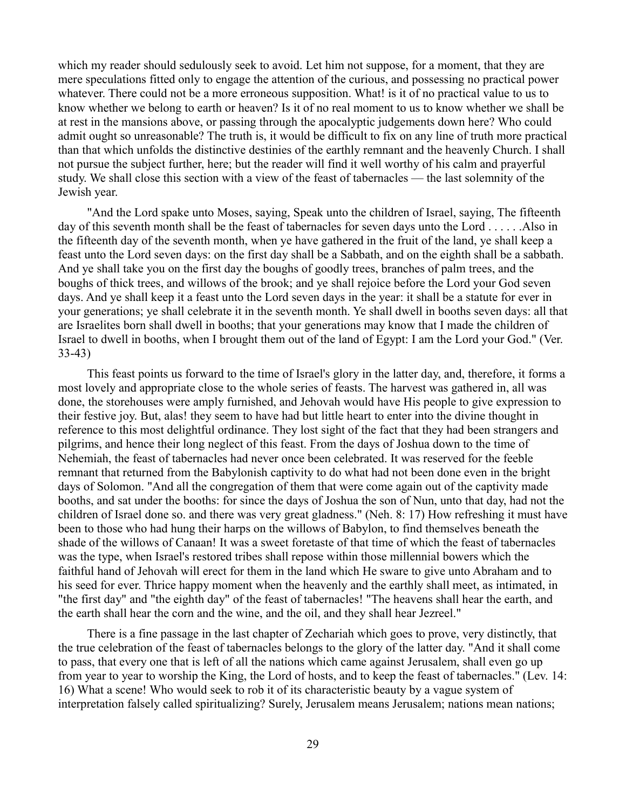which my reader should sedulously seek to avoid. Let him not suppose, for a moment, that they are mere speculations fitted only to engage the attention of the curious, and possessing no practical power whatever. There could not be a more erroneous supposition. What! is it of no practical value to us to know whether we belong to earth or heaven? Is it of no real moment to us to know whether we shall be at rest in the mansions above, or passing through the apocalyptic judgements down here? Who could admit ought so unreasonable? The truth is, it would be difficult to fix on any line of truth more practical than that which unfolds the distinctive destinies of the earthly remnant and the heavenly Church. I shall not pursue the subject further, here; but the reader will find it well worthy of his calm and prayerful study. We shall close this section with a view of the feast of tabernacles — the last solemnity of the Jewish year.

"And the Lord spake unto Moses, saying, Speak unto the children of Israel, saying, The fifteenth day of this seventh month shall be the feast of tabernacles for seven days unto the Lord . . . . . .Also in the fifteenth day of the seventh month, when ye have gathered in the fruit of the land, ye shall keep a feast unto the Lord seven days: on the first day shall be a Sabbath, and on the eighth shall be a sabbath. And ye shall take you on the first day the boughs of goodly trees, branches of palm trees, and the boughs of thick trees, and willows of the brook; and ye shall rejoice before the Lord your God seven days. And ye shall keep it a feast unto the Lord seven days in the year: it shall be a statute for ever in your generations; ye shall celebrate it in the seventh month. Ye shall dwell in booths seven days: all that are Israelites born shall dwell in booths; that your generations may know that I made the children of Israel to dwell in booths, when I brought them out of the land of Egypt: I am the Lord your God." (Ver. 33-43)

This feast points us forward to the time of Israel's glory in the latter day, and, therefore, it forms a most lovely and appropriate close to the whole series of feasts. The harvest was gathered in, all was done, the storehouses were amply furnished, and Jehovah would have His people to give expression to their festive joy. But, alas! they seem to have had but little heart to enter into the divine thought in reference to this most delightful ordinance. They lost sight of the fact that they had been strangers and pilgrims, and hence their long neglect of this feast. From the days of Joshua down to the time of Nehemiah, the feast of tabernacles had never once been celebrated. It was reserved for the feeble remnant that returned from the Babylonish captivity to do what had not been done even in the bright days of Solomon. "And all the congregation of them that were come again out of the captivity made booths, and sat under the booths: for since the days of Joshua the son of Nun, unto that day, had not the children of Israel done so. and there was very great gladness." (Neh. 8: 17) How refreshing it must have been to those who had hung their harps on the willows of Babylon, to find themselves beneath the shade of the willows of Canaan! It was a sweet foretaste of that time of which the feast of tabernacles was the type, when Israel's restored tribes shall repose within those millennial bowers which the faithful hand of Jehovah will erect for them in the land which He sware to give unto Abraham and to his seed for ever. Thrice happy moment when the heavenly and the earthly shall meet, as intimated, in "the first day" and "the eighth day" of the feast of tabernacles! "The heavens shall hear the earth, and the earth shall hear the corn and the wine, and the oil, and they shall hear Jezreel."

There is a fine passage in the last chapter of Zechariah which goes to prove, very distinctly, that the true celebration of the feast of tabernacles belongs to the glory of the latter day. "And it shall come to pass, that every one that is left of all the nations which came against Jerusalem, shall even go up from year to year to worship the King, the Lord of hosts, and to keep the feast of tabernacles." (Lev. 14: 16) What a scene! Who would seek to rob it of its characteristic beauty by a vague system of interpretation falsely called spiritualizing? Surely, Jerusalem means Jerusalem; nations mean nations;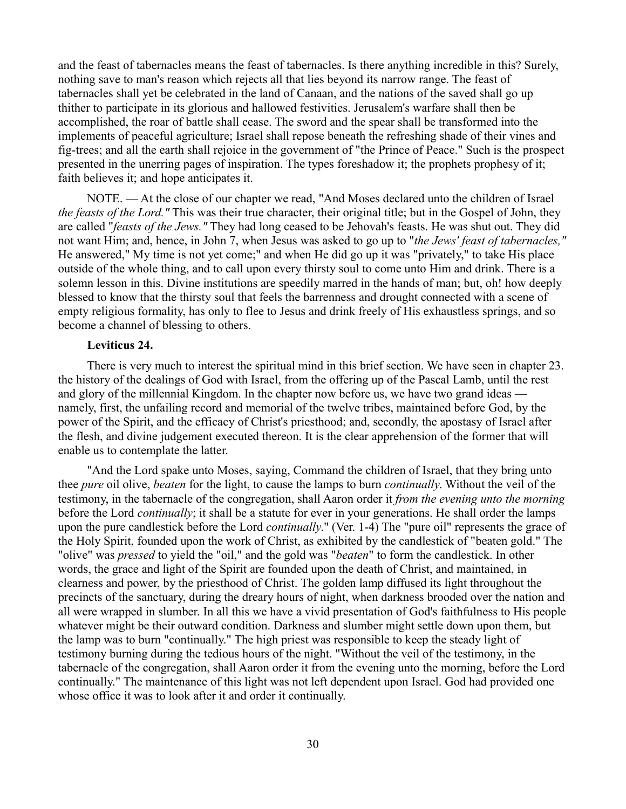and the feast of tabernacles means the feast of tabernacles. Is there anything incredible in this? Surely, nothing save to man's reason which rejects all that lies beyond its narrow range. The feast of tabernacles shall yet be celebrated in the land of Canaan, and the nations of the saved shall go up thither to participate in its glorious and hallowed festivities. Jerusalem's warfare shall then be accomplished, the roar of battle shall cease. The sword and the spear shall be transformed into the implements of peaceful agriculture; Israel shall repose beneath the refreshing shade of their vines and fig-trees; and all the earth shall rejoice in the government of "the Prince of Peace." Such is the prospect presented in the unerring pages of inspiration. The types foreshadow it; the prophets prophesy of it; faith believes it; and hope anticipates it.

NOTE. — At the close of our chapter we read, "And Moses declared unto the children of Israel *the feasts of the Lord."* This was their true character, their original title; but in the Gospel of John, they are called "*feasts of the Jews."* They had long ceased to be Jehovah's feasts. He was shut out. They did not want Him; and, hence, in John 7, when Jesus was asked to go up to "*the Jews' feast of tabernacles,"* He answered," My time is not yet come;" and when He did go up it was "privately," to take His place outside of the whole thing, and to call upon every thirsty soul to come unto Him and drink. There is a solemn lesson in this. Divine institutions are speedily marred in the hands of man; but, oh! how deeply blessed to know that the thirsty soul that feels the barrenness and drought connected with a scene of empty religious formality, has only to flee to Jesus and drink freely of His exhaustless springs, and so become a channel of blessing to others.

## **Leviticus 24.**

There is very much to interest the spiritual mind in this brief section. We have seen in chapter 23. the history of the dealings of God with Israel, from the offering up of the Pascal Lamb, until the rest and glory of the millennial Kingdom. In the chapter now before us, we have two grand ideas namely, first, the unfailing record and memorial of the twelve tribes, maintained before God, by the power of the Spirit, and the efficacy of Christ's priesthood; and, secondly, the apostasy of Israel after the flesh, and divine judgement executed thereon. It is the clear apprehension of the former that will enable us to contemplate the latter.

"And the Lord spake unto Moses, saying, Command the children of Israel, that they bring unto thee *pure* oil olive, *beaten* for the light, to cause the lamps to burn *continually*. Without the veil of the testimony, in the tabernacle of the congregation, shall Aaron order it *from the evening unto the morning* before the Lord *continually*; it shall be a statute for ever in your generations. He shall order the lamps upon the pure candlestick before the Lord *continually*." (Ver. 1-4) The "pure oil" represents the grace of the Holy Spirit, founded upon the work of Christ, as exhibited by the candlestick of "beaten gold." The "olive" was *pressed* to yield the "oil," and the gold was "*beaten*" to form the candlestick. In other words, the grace and light of the Spirit are founded upon the death of Christ, and maintained, in clearness and power, by the priesthood of Christ. The golden lamp diffused its light throughout the precincts of the sanctuary, during the dreary hours of night, when darkness brooded over the nation and all were wrapped in slumber. In all this we have a vivid presentation of God's faithfulness to His people whatever might be their outward condition. Darkness and slumber might settle down upon them, but the lamp was to burn "continually." The high priest was responsible to keep the steady light of testimony burning during the tedious hours of the night. "Without the veil of the testimony, in the tabernacle of the congregation, shall Aaron order it from the evening unto the morning, before the Lord continually." The maintenance of this light was not left dependent upon Israel. God had provided one whose office it was to look after it and order it continually.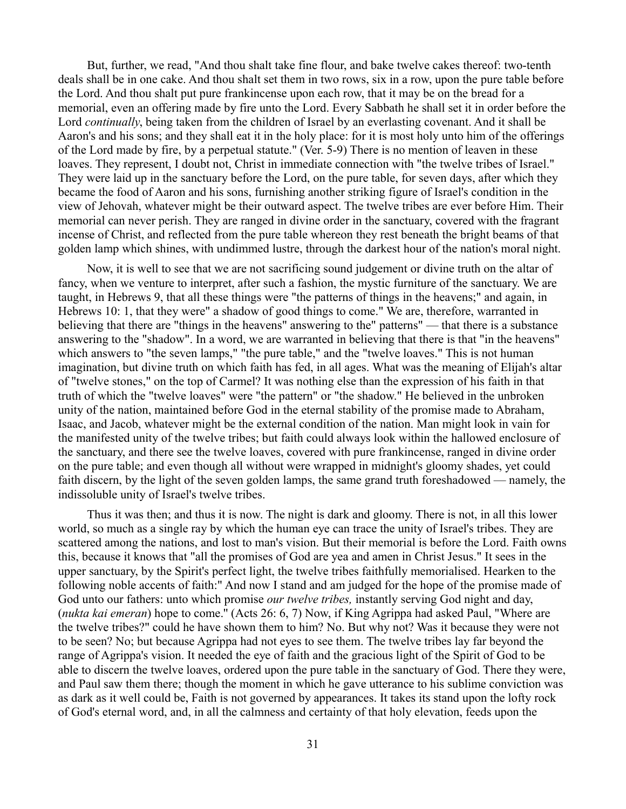But, further, we read, "And thou shalt take fine flour, and bake twelve cakes thereof: two-tenth deals shall be in one cake. And thou shalt set them in two rows, six in a row, upon the pure table before the Lord. And thou shalt put pure frankincense upon each row, that it may be on the bread for a memorial, even an offering made by fire unto the Lord. Every Sabbath he shall set it in order before the Lord *continually*, being taken from the children of Israel by an everlasting covenant. And it shall be Aaron's and his sons; and they shall eat it in the holy place: for it is most holy unto him of the offerings of the Lord made by fire, by a perpetual statute." (Ver. 5-9) There is no mention of leaven in these loaves. They represent, I doubt not, Christ in immediate connection with "the twelve tribes of Israel." They were laid up in the sanctuary before the Lord, on the pure table, for seven days, after which they became the food of Aaron and his sons, furnishing another striking figure of Israel's condition in the view of Jehovah, whatever might be their outward aspect. The twelve tribes are ever before Him. Their memorial can never perish. They are ranged in divine order in the sanctuary, covered with the fragrant incense of Christ, and reflected from the pure table whereon they rest beneath the bright beams of that golden lamp which shines, with undimmed lustre, through the darkest hour of the nation's moral night.

Now, it is well to see that we are not sacrificing sound judgement or divine truth on the altar of fancy, when we venture to interpret, after such a fashion, the mystic furniture of the sanctuary. We are taught, in Hebrews 9, that all these things were "the patterns of things in the heavens;" and again, in Hebrews 10: 1, that they were" a shadow of good things to come." We are, therefore, warranted in believing that there are "things in the heavens" answering to the" patterns" — that there is a substance answering to the "shadow". In a word, we are warranted in believing that there is that "in the heavens" which answers to "the seven lamps," "the pure table," and the "twelve loaves." This is not human imagination, but divine truth on which faith has fed, in all ages. What was the meaning of Elijah's altar of "twelve stones," on the top of Carmel? It was nothing else than the expression of his faith in that truth of which the "twelve loaves" were "the pattern" or "the shadow." He believed in the unbroken unity of the nation, maintained before God in the eternal stability of the promise made to Abraham, Isaac, and Jacob, whatever might be the external condition of the nation. Man might look in vain for the manifested unity of the twelve tribes; but faith could always look within the hallowed enclosure of the sanctuary, and there see the twelve loaves, covered with pure frankincense, ranged in divine order on the pure table; and even though all without were wrapped in midnight's gloomy shades, yet could faith discern, by the light of the seven golden lamps, the same grand truth foreshadowed — namely, the indissoluble unity of Israel's twelve tribes.

Thus it was then; and thus it is now. The night is dark and gloomy. There is not, in all this lower world, so much as a single ray by which the human eye can trace the unity of Israel's tribes. They are scattered among the nations, and lost to man's vision. But their memorial is before the Lord. Faith owns this, because it knows that "all the promises of God are yea and amen in Christ Jesus." It sees in the upper sanctuary, by the Spirit's perfect light, the twelve tribes faithfully memorialised. Hearken to the following noble accents of faith:" And now I stand and am judged for the hope of the promise made of God unto our fathers: unto which promise *our twelve tribes,* instantly serving God night and day, (*nukta kai emeran*) hope to come.'' (Acts 26: 6, 7) Now, if King Agrippa had asked Paul, "Where are the twelve tribes?" could he have shown them to him? No. But why not? Was it because they were not to be seen? No; but because Agrippa had not eyes to see them. The twelve tribes lay far beyond the range of Agrippa's vision. It needed the eye of faith and the gracious light of the Spirit of God to be able to discern the twelve loaves, ordered upon the pure table in the sanctuary of God. There they were, and Paul saw them there; though the moment in which he gave utterance to his sublime conviction was as dark as it well could be, Faith is not governed by appearances. It takes its stand upon the lofty rock of God's eternal word, and, in all the calmness and certainty of that holy elevation, feeds upon the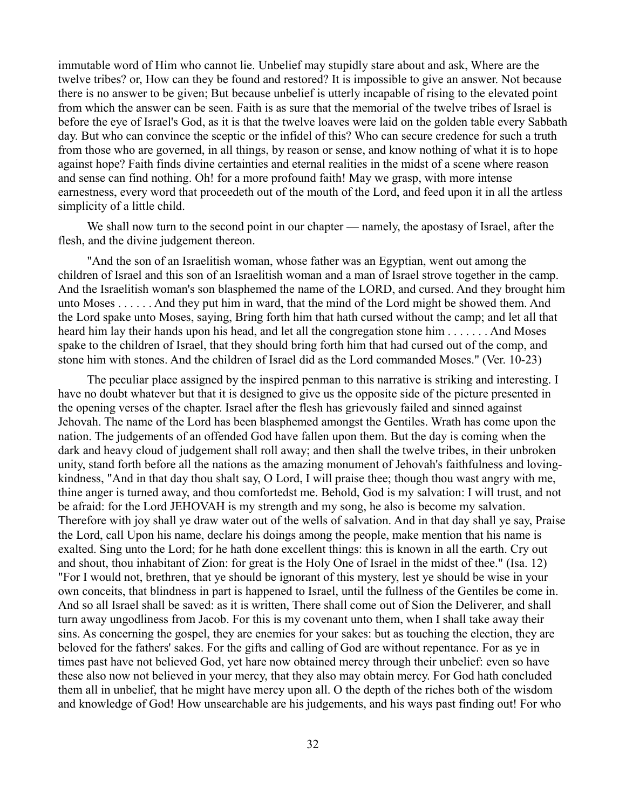immutable word of Him who cannot lie. Unbelief may stupidly stare about and ask, Where are the twelve tribes? or, How can they be found and restored? It is impossible to give an answer. Not because there is no answer to be given; But because unbelief is utterly incapable of rising to the elevated point from which the answer can be seen. Faith is as sure that the memorial of the twelve tribes of Israel is before the eye of Israel's God, as it is that the twelve loaves were laid on the golden table every Sabbath day. But who can convince the sceptic or the infidel of this? Who can secure credence for such a truth from those who are governed, in all things, by reason or sense, and know nothing of what it is to hope against hope? Faith finds divine certainties and eternal realities in the midst of a scene where reason and sense can find nothing. Oh! for a more profound faith! May we grasp, with more intense earnestness, every word that proceedeth out of the mouth of the Lord, and feed upon it in all the artless simplicity of a little child.

We shall now turn to the second point in our chapter — namely, the apostasy of Israel, after the flesh, and the divine judgement thereon.

"And the son of an Israelitish woman, whose father was an Egyptian, went out among the children of Israel and this son of an Israelitish woman and a man of Israel strove together in the camp. And the Israelitish woman's son blasphemed the name of the LORD, and cursed. And they brought him unto Moses . . . . . . And they put him in ward, that the mind of the Lord might be showed them. And the Lord spake unto Moses, saying, Bring forth him that hath cursed without the camp; and let all that heard him lay their hands upon his head, and let all the congregation stone him . . . . . . . And Moses spake to the children of Israel, that they should bring forth him that had cursed out of the comp, and stone him with stones. And the children of Israel did as the Lord commanded Moses." (Ver. 10-23)

The peculiar place assigned by the inspired penman to this narrative is striking and interesting. I have no doubt whatever but that it is designed to give us the opposite side of the picture presented in the opening verses of the chapter. Israel after the flesh has grievously failed and sinned against Jehovah. The name of the Lord has been blasphemed amongst the Gentiles. Wrath has come upon the nation. The judgements of an offended God have fallen upon them. But the day is coming when the dark and heavy cloud of judgement shall roll away; and then shall the twelve tribes, in their unbroken unity, stand forth before all the nations as the amazing monument of Jehovah's faithfulness and lovingkindness, "And in that day thou shalt say, O Lord, I will praise thee; though thou wast angry with me, thine anger is turned away, and thou comfortedst me. Behold, God is my salvation: I will trust, and not be afraid: for the Lord JEHOVAH is my strength and my song, he also is become my salvation. Therefore with joy shall ye draw water out of the wells of salvation. And in that day shall ye say, Praise the Lord, call Upon his name, declare his doings among the people, make mention that his name is exalted. Sing unto the Lord; for he hath done excellent things: this is known in all the earth. Cry out and shout, thou inhabitant of Zion: for great is the Holy One of Israel in the midst of thee." (Isa. 12) "For I would not, brethren, that ye should be ignorant of this mystery, lest ye should be wise in your own conceits, that blindness in part is happened to Israel, until the fullness of the Gentiles be come in. And so all Israel shall be saved: as it is written, There shall come out of Sion the Deliverer, and shall turn away ungodliness from Jacob. For this is my covenant unto them, when I shall take away their sins. As concerning the gospel, they are enemies for your sakes: but as touching the election, they are beloved for the fathers' sakes. For the gifts and calling of God are without repentance. For as ye in times past have not believed God, yet hare now obtained mercy through their unbelief: even so have these also now not believed in your mercy, that they also may obtain mercy. For God hath concluded them all in unbelief, that he might have mercy upon all. O the depth of the riches both of the wisdom and knowledge of God! How unsearchable are his judgements, and his ways past finding out! For who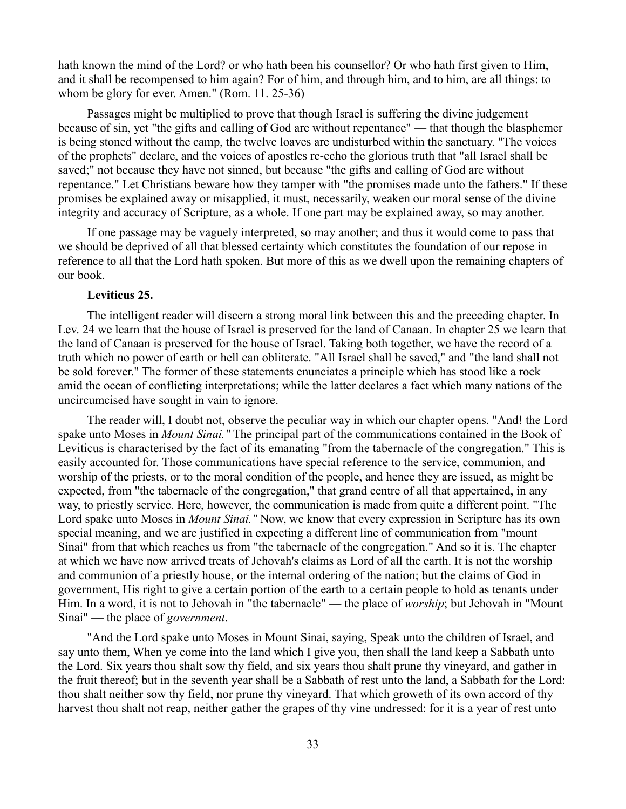hath known the mind of the Lord? or who hath been his counsellor? Or who hath first given to Him, and it shall be recompensed to him again? For of him, and through him, and to him, are all things: to whom be glory for ever. Amen." (Rom. 11. 25-36)

Passages might be multiplied to prove that though Israel is suffering the divine judgement because of sin, yet "the gifts and calling of God are without repentance" — that though the blasphemer is being stoned without the camp, the twelve loaves are undisturbed within the sanctuary. "The voices of the prophets" declare, and the voices of apostles re-echo the glorious truth that "all Israel shall be saved;" not because they have not sinned, but because "the gifts and calling of God are without repentance." Let Christians beware how they tamper with "the promises made unto the fathers." If these promises be explained away or misapplied, it must, necessarily, weaken our moral sense of the divine integrity and accuracy of Scripture, as a whole. If one part may be explained away, so may another.

If one passage may be vaguely interpreted, so may another; and thus it would come to pass that we should be deprived of all that blessed certainty which constitutes the foundation of our repose in reference to all that the Lord hath spoken. But more of this as we dwell upon the remaining chapters of our book.

# **Leviticus 25.**

The intelligent reader will discern a strong moral link between this and the preceding chapter. In Lev. 24 we learn that the house of Israel is preserved for the land of Canaan. In chapter 25 we learn that the land of Canaan is preserved for the house of Israel. Taking both together, we have the record of a truth which no power of earth or hell can obliterate. "All Israel shall be saved," and "the land shall not be sold forever." The former of these statements enunciates a principle which has stood like a rock amid the ocean of conflicting interpretations; while the latter declares a fact which many nations of the uncircumcised have sought in vain to ignore.

The reader will, I doubt not, observe the peculiar way in which our chapter opens. "And! the Lord spake unto Moses in *Mount Sinai."* The principal part of the communications contained in the Book of Leviticus is characterised by the fact of its emanating "from the tabernacle of the congregation." This is easily accounted for. Those communications have special reference to the service, communion, and worship of the priests, or to the moral condition of the people, and hence they are issued, as might be expected, from "the tabernacle of the congregation," that grand centre of all that appertained, in any way, to priestly service. Here, however, the communication is made from quite a different point. "The Lord spake unto Moses in *Mount Sinai."* Now, we know that every expression in Scripture has its own special meaning, and we are justified in expecting a different line of communication from "mount Sinai" from that which reaches us from "the tabernacle of the congregation." And so it is. The chapter at which we have now arrived treats of Jehovah's claims as Lord of all the earth. It is not the worship and communion of a priestly house, or the internal ordering of the nation; but the claims of God in government, His right to give a certain portion of the earth to a certain people to hold as tenants under Him. In a word, it is not to Jehovah in "the tabernacle" — the place of *worship*; but Jehovah in "Mount Sinai" — the place of *government*.

"And the Lord spake unto Moses in Mount Sinai, saying, Speak unto the children of Israel, and say unto them, When ye come into the land which I give you, then shall the land keep a Sabbath unto the Lord. Six years thou shalt sow thy field, and six years thou shalt prune thy vineyard, and gather in the fruit thereof; but in the seventh year shall be a Sabbath of rest unto the land, a Sabbath for the Lord: thou shalt neither sow thy field, nor prune thy vineyard. That which groweth of its own accord of thy harvest thou shalt not reap, neither gather the grapes of thy vine undressed: for it is a year of rest unto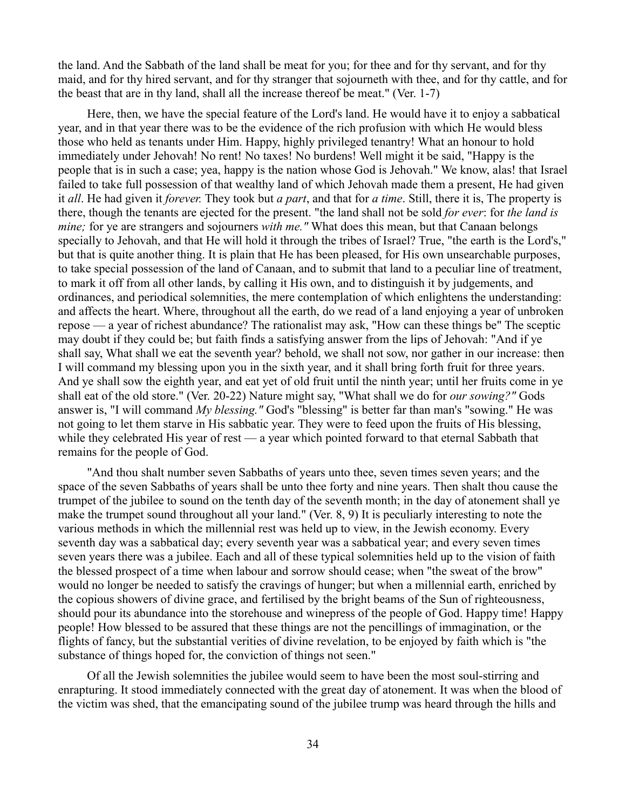the land. And the Sabbath of the land shall be meat for you; for thee and for thy servant, and for thy maid, and for thy hired servant, and for thy stranger that sojourneth with thee, and for thy cattle, and for the beast that are in thy land, shall all the increase thereof be meat." (Ver. 1-7)

Here, then, we have the special feature of the Lord's land. He would have it to enjoy a sabbatical year, and in that year there was to be the evidence of the rich profusion with which He would bless those who held as tenants under Him. Happy, highly privileged tenantry! What an honour to hold immediately under Jehovah! No rent! No taxes! No burdens! Well might it be said, "Happy is the people that is in such a case; yea, happy is the nation whose God is Jehovah." We know, alas! that Israel failed to take full possession of that wealthy land of which Jehovah made them a present, He had given it *all*. He had given it *forever.* They took but *a part*, and that for *a time*. Still, there it is, The property is there, though the tenants are ejected for the present. "the land shall not be sold *for ever*: for *the land is mine;* for ye are strangers and sojourners *with me.* "What does this mean, but that Canaan belongs specially to Jehovah, and that He will hold it through the tribes of Israel? True, "the earth is the Lord's," but that is quite another thing. It is plain that He has been pleased, for His own unsearchable purposes, to take special possession of the land of Canaan, and to submit that land to a peculiar line of treatment, to mark it off from all other lands, by calling it His own, and to distinguish it by judgements, and ordinances, and periodical solemnities, the mere contemplation of which enlightens the understanding: and affects the heart. Where, throughout all the earth, do we read of a land enjoying a year of unbroken repose — a year of richest abundance? The rationalist may ask, "How can these things be" The sceptic may doubt if they could be; but faith finds a satisfying answer from the lips of Jehovah: "And if ye shall say, What shall we eat the seventh year? behold, we shall not sow, nor gather in our increase: then I will command my blessing upon you in the sixth year, and it shall bring forth fruit for three years. And ye shall sow the eighth year, and eat yet of old fruit until the ninth year; until her fruits come in ye shall eat of the old store." (Ver. 20-22) Nature might say, "What shall we do for *our sowing?"* Gods answer is, "I will command *My blessing."* God's "blessing" is better far than man's "sowing." He was not going to let them starve in His sabbatic year. They were to feed upon the fruits of His blessing, while they celebrated His year of rest — a year which pointed forward to that eternal Sabbath that remains for the people of God.

"And thou shalt number seven Sabbaths of years unto thee, seven times seven years; and the space of the seven Sabbaths of years shall be unto thee forty and nine years. Then shalt thou cause the trumpet of the jubilee to sound on the tenth day of the seventh month; in the day of atonement shall ye make the trumpet sound throughout all your land." (Ver. 8, 9) It is peculiarly interesting to note the various methods in which the millennial rest was held up to view, in the Jewish economy. Every seventh day was a sabbatical day; every seventh year was a sabbatical year; and every seven times seven years there was a jubilee. Each and all of these typical solemnities held up to the vision of faith the blessed prospect of a time when labour and sorrow should cease; when "the sweat of the brow" would no longer be needed to satisfy the cravings of hunger; but when a millennial earth, enriched by the copious showers of divine grace, and fertilised by the bright beams of the Sun of righteousness, should pour its abundance into the storehouse and winepress of the people of God. Happy time! Happy people! How blessed to be assured that these things are not the pencillings of immagination, or the flights of fancy, but the substantial verities of divine revelation, to be enjoyed by faith which is "the substance of things hoped for, the conviction of things not seen."

Of all the Jewish solemnities the jubilee would seem to have been the most soul-stirring and enrapturing. It stood immediately connected with the great day of atonement. It was when the blood of the victim was shed, that the emancipating sound of the jubilee trump was heard through the hills and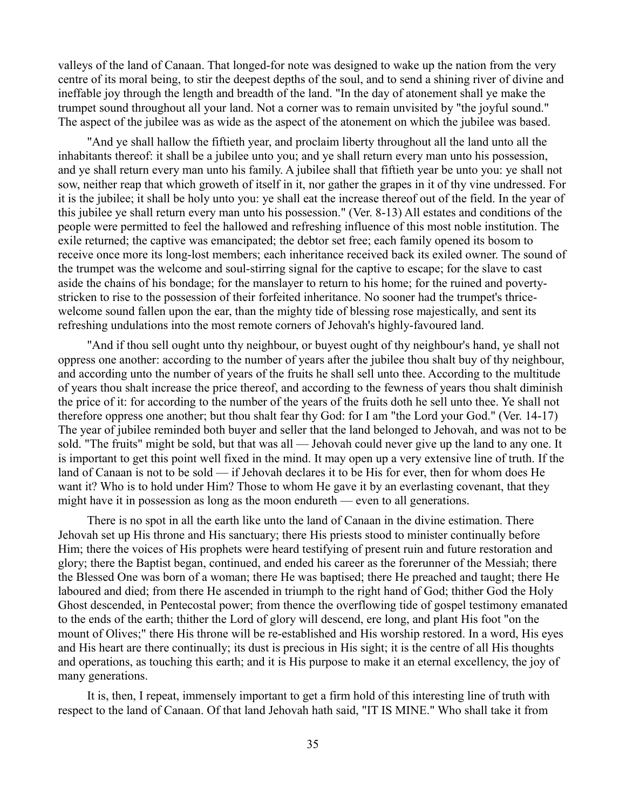valleys of the land of Canaan. That longed-for note was designed to wake up the nation from the very centre of its moral being, to stir the deepest depths of the soul, and to send a shining river of divine and ineffable joy through the length and breadth of the land. "In the day of atonement shall ye make the trumpet sound throughout all your land. Not a corner was to remain unvisited by "the joyful sound." The aspect of the jubilee was as wide as the aspect of the atonement on which the jubilee was based.

"And ye shall hallow the fiftieth year, and proclaim liberty throughout all the land unto all the inhabitants thereof: it shall be a jubilee unto you; and ye shall return every man unto his possession, and ye shall return every man unto his family. A jubilee shall that fiftieth year be unto you: ye shall not sow, neither reap that which groweth of itself in it, nor gather the grapes in it of thy vine undressed. For it is the jubilee; it shall be holy unto you: ye shall eat the increase thereof out of the field. In the year of this jubilee ye shall return every man unto his possession." (Ver. 8-13) All estates and conditions of the people were permitted to feel the hallowed and refreshing influence of this most noble institution. The exile returned; the captive was emancipated; the debtor set free; each family opened its bosom to receive once more its long-lost members; each inheritance received back its exiled owner. The sound of the trumpet was the welcome and soul-stirring signal for the captive to escape; for the slave to cast aside the chains of his bondage; for the manslayer to return to his home; for the ruined and povertystricken to rise to the possession of their forfeited inheritance. No sooner had the trumpet's thricewelcome sound fallen upon the ear, than the mighty tide of blessing rose majestically, and sent its refreshing undulations into the most remote corners of Jehovah's highly-favoured land.

"And if thou sell ought unto thy neighbour, or buyest ought of thy neighbour's hand, ye shall not oppress one another: according to the number of years after the jubilee thou shalt buy of thy neighbour, and according unto the number of years of the fruits he shall sell unto thee. According to the multitude of years thou shalt increase the price thereof, and according to the fewness of years thou shalt diminish the price of it: for according to the number of the years of the fruits doth he sell unto thee. Ye shall not therefore oppress one another; but thou shalt fear thy God: for I am "the Lord your God." (Ver. 14-17) The year of jubilee reminded both buyer and seller that the land belonged to Jehovah, and was not to be sold. "The fruits" might be sold, but that was all — Jehovah could never give up the land to any one. It is important to get this point well fixed in the mind. It may open up a very extensive line of truth. If the land of Canaan is not to be sold — if Jehovah declares it to be His for ever, then for whom does He want it? Who is to hold under Him? Those to whom He gave it by an everlasting covenant, that they might have it in possession as long as the moon endureth — even to all generations.

There is no spot in all the earth like unto the land of Canaan in the divine estimation. There Jehovah set up His throne and His sanctuary; there His priests stood to minister continually before Him; there the voices of His prophets were heard testifying of present ruin and future restoration and glory; there the Baptist began, continued, and ended his career as the forerunner of the Messiah; there the Blessed One was born of a woman; there He was baptised; there He preached and taught; there He laboured and died; from there He ascended in triumph to the right hand of God; thither God the Holy Ghost descended, in Pentecostal power; from thence the overflowing tide of gospel testimony emanated to the ends of the earth; thither the Lord of glory will descend, ere long, and plant His foot "on the mount of Olives;" there His throne will be re-established and His worship restored. In a word, His eyes and His heart are there continually; its dust is precious in His sight; it is the centre of all His thoughts and operations, as touching this earth; and it is His purpose to make it an eternal excellency, the joy of many generations.

It is, then, I repeat, immensely important to get a firm hold of this interesting line of truth with respect to the land of Canaan. Of that land Jehovah hath said, "IT IS MINE." Who shall take it from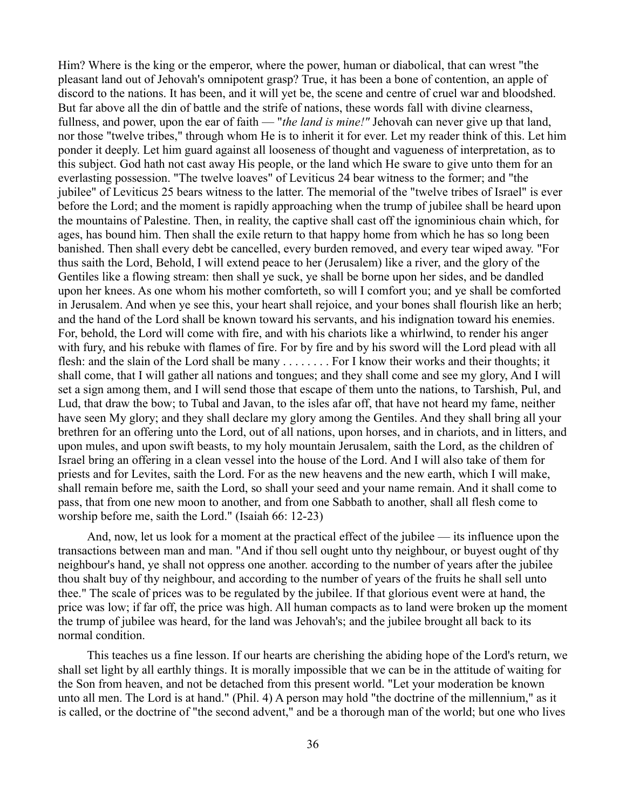Him? Where is the king or the emperor, where the power, human or diabolical, that can wrest "the pleasant land out of Jehovah's omnipotent grasp? True, it has been a bone of contention, an apple of discord to the nations. It has been, and it will yet be, the scene and centre of cruel war and bloodshed. But far above all the din of battle and the strife of nations, these words fall with divine clearness, fullness, and power, upon the ear of faith — "*the land is mine!"* Jehovah can never give up that land, nor those "twelve tribes," through whom He is to inherit it for ever. Let my reader think of this. Let him ponder it deeply. Let him guard against all looseness of thought and vagueness of interpretation, as to this subject. God hath not cast away His people, or the land which He sware to give unto them for an everlasting possession. "The twelve loaves" of Leviticus 24 bear witness to the former; and "the jubilee" of Leviticus 25 bears witness to the latter. The memorial of the "twelve tribes of Israel" is ever before the Lord; and the moment is rapidly approaching when the trump of jubilee shall be heard upon the mountains of Palestine. Then, in reality, the captive shall cast off the ignominious chain which, for ages, has bound him. Then shall the exile return to that happy home from which he has so long been banished. Then shall every debt be cancelled, every burden removed, and every tear wiped away. "For thus saith the Lord, Behold, I will extend peace to her (Jerusalem) like a river, and the glory of the Gentiles like a flowing stream: then shall ye suck, ye shall be borne upon her sides, and be dandled upon her knees. As one whom his mother comforteth, so will I comfort you; and ye shall be comforted in Jerusalem. And when ye see this, your heart shall rejoice, and your bones shall flourish like an herb; and the hand of the Lord shall be known toward his servants, and his indignation toward his enemies. For, behold, the Lord will come with fire, and with his chariots like a whirlwind, to render his anger with fury, and his rebuke with flames of fire. For by fire and by his sword will the Lord plead with all flesh: and the slain of the Lord shall be many . . . . . . . . For I know their works and their thoughts; it shall come, that I will gather all nations and tongues; and they shall come and see my glory, And I will set a sign among them, and I will send those that escape of them unto the nations, to Tarshish, Pul, and Lud, that draw the bow; to Tubal and Javan, to the isles afar off, that have not heard my fame, neither have seen My glory; and they shall declare my glory among the Gentiles. And they shall bring all your brethren for an offering unto the Lord, out of all nations, upon horses, and in chariots, and in litters, and upon mules, and upon swift beasts, to my holy mountain Jerusalem, saith the Lord, as the children of Israel bring an offering in a clean vessel into the house of the Lord. And I will also take of them for priests and for Levites, saith the Lord. For as the new heavens and the new earth, which I will make, shall remain before me, saith the Lord, so shall your seed and your name remain. And it shall come to pass, that from one new moon to another, and from one Sabbath to another, shall all flesh come to worship before me, saith the Lord." (Isaiah 66: 12-23)

And, now, let us look for a moment at the practical effect of the jubilee — its influence upon the transactions between man and man. "And if thou sell ought unto thy neighbour, or buyest ought of thy neighbour's hand, ye shall not oppress one another. according to the number of years after the jubilee thou shalt buy of thy neighbour, and according to the number of years of the fruits he shall sell unto thee." The scale of prices was to be regulated by the jubilee. If that glorious event were at hand, the price was low; if far off, the price was high. All human compacts as to land were broken up the moment the trump of jubilee was heard, for the land was Jehovah's; and the jubilee brought all back to its normal condition.

This teaches us a fine lesson. If our hearts are cherishing the abiding hope of the Lord's return, we shall set light by all earthly things. It is morally impossible that we can be in the attitude of waiting for the Son from heaven, and not be detached from this present world. "Let your moderation be known unto all men. The Lord is at hand." (Phil. 4) A person may hold "the doctrine of the millennium," as it is called, or the doctrine of "the second advent," and be a thorough man of the world; but one who lives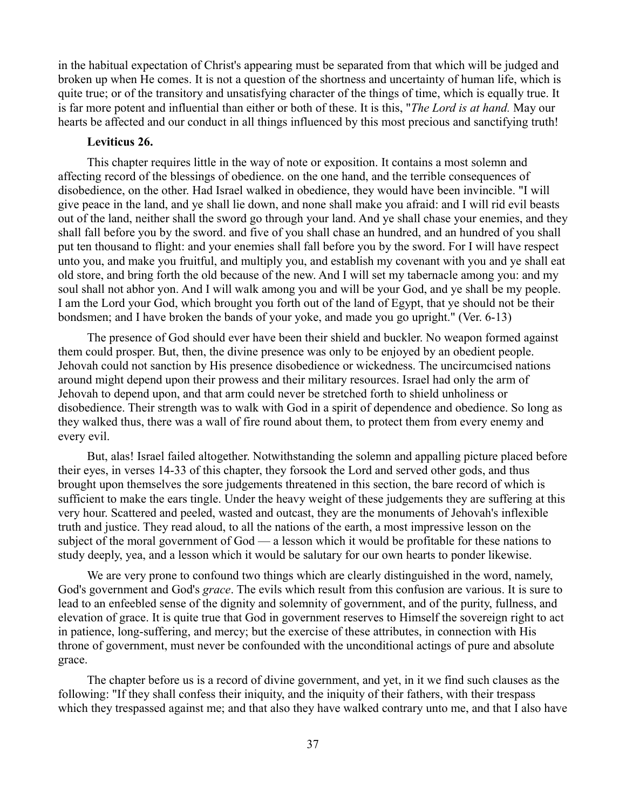in the habitual expectation of Christ's appearing must be separated from that which will be judged and broken up when He comes. It is not a question of the shortness and uncertainty of human life, which is quite true; or of the transitory and unsatisfying character of the things of time, which is equally true. It is far more potent and influential than either or both of these. It is this, "*The Lord is at hand.* May our hearts be affected and our conduct in all things influenced by this most precious and sanctifying truth!

# **Leviticus 26.**

This chapter requires little in the way of note or exposition. It contains a most solemn and affecting record of the blessings of obedience. on the one hand, and the terrible consequences of disobedience, on the other. Had Israel walked in obedience, they would have been invincible. "I will give peace in the land, and ye shall lie down, and none shall make you afraid: and I will rid evil beasts out of the land, neither shall the sword go through your land. And ye shall chase your enemies, and they shall fall before you by the sword. and five of you shall chase an hundred, and an hundred of you shall put ten thousand to flight: and your enemies shall fall before you by the sword. For I will have respect unto you, and make you fruitful, and multiply you, and establish my covenant with you and ye shall eat old store, and bring forth the old because of the new. And I will set my tabernacle among you: and my soul shall not abhor yon. And I will walk among you and will be your God, and ye shall be my people. I am the Lord your God, which brought you forth out of the land of Egypt, that ye should not be their bondsmen; and I have broken the bands of your yoke, and made you go upright." (Ver. 6-13)

The presence of God should ever have been their shield and buckler. No weapon formed against them could prosper. But, then, the divine presence was only to be enjoyed by an obedient people. Jehovah could not sanction by His presence disobedience or wickedness. The uncircumcised nations around might depend upon their prowess and their military resources. Israel had only the arm of Jehovah to depend upon, and that arm could never be stretched forth to shield unholiness or disobedience. Their strength was to walk with God in a spirit of dependence and obedience. So long as they walked thus, there was a wall of fire round about them, to protect them from every enemy and every evil.

But, alas! Israel failed altogether. Notwithstanding the solemn and appalling picture placed before their eyes, in verses 14-33 of this chapter, they forsook the Lord and served other gods, and thus brought upon themselves the sore judgements threatened in this section, the bare record of which is sufficient to make the ears tingle. Under the heavy weight of these judgements they are suffering at this very hour. Scattered and peeled, wasted and outcast, they are the monuments of Jehovah's inflexible truth and justice. They read aloud, to all the nations of the earth, a most impressive lesson on the subject of the moral government of God — a lesson which it would be profitable for these nations to study deeply, yea, and a lesson which it would be salutary for our own hearts to ponder likewise.

We are very prone to confound two things which are clearly distinguished in the word, namely, God's government and God's *grace*. The evils which result from this confusion are various. It is sure to lead to an enfeebled sense of the dignity and solemnity of government, and of the purity, fullness, and elevation of grace. It is quite true that God in government reserves to Himself the sovereign right to act in patience, long-suffering, and mercy; but the exercise of these attributes, in connection with His throne of government, must never be confounded with the unconditional actings of pure and absolute grace.

The chapter before us is a record of divine government, and yet, in it we find such clauses as the following: "If they shall confess their iniquity, and the iniquity of their fathers, with their trespass which they trespassed against me; and that also they have walked contrary unto me, and that I also have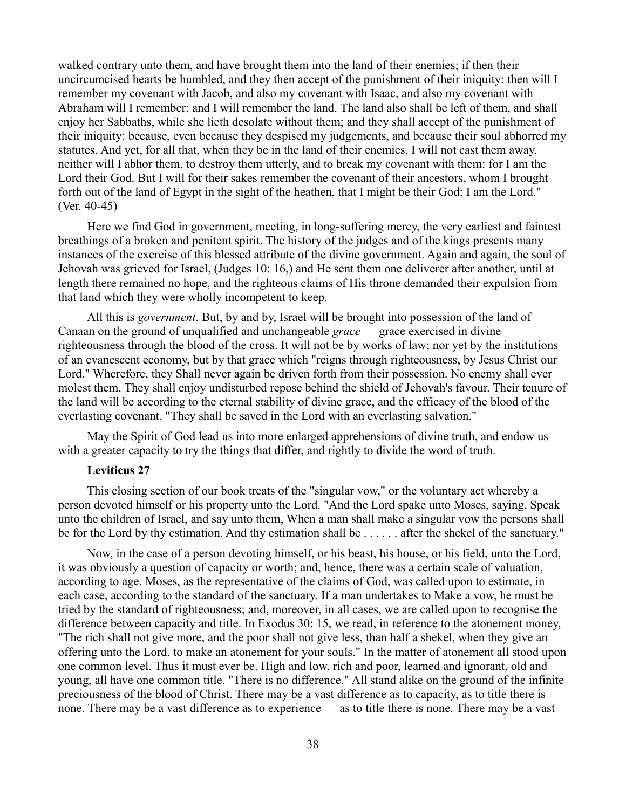walked contrary unto them, and have brought them into the land of their enemies; if then their uncircumcised hearts be humbled, and they then accept of the punishment of their iniquity: then will I remember my covenant with Jacob, and also my covenant with Isaac, and also my covenant with Abraham will I remember; and I will remember the land. The land also shall be left of them, and shall enjoy her Sabbaths, while she lieth desolate without them; and they shall accept of the punishment of their iniquity: because, even because they despised my judgements, and because their soul abhorred my statutes. And yet, for all that, when they be in the land of their enemies, I will not cast them away, neither will I abhor them, to destroy them utterly, and to break my covenant with them: for I am the Lord their God. But I will for their sakes remember the covenant of their ancestors, whom I brought forth out of the land of Egypt in the sight of the heathen, that I might be their God: I am the Lord." (Ver. 40-45)

Here we find God in government, meeting, in long-suffering mercy, the very earliest and faintest breathings of a broken and penitent spirit. The history of the judges and of the kings presents many instances of the exercise of this blessed attribute of the divine government. Again and again, the soul of Jehovah was grieved for Israel, (Judges 10: 16,) and He sent them one deliverer after another, until at length there remained no hope, and the righteous claims of His throne demanded their expulsion from that land which they were wholly incompetent to keep.

All this is *government*. But, by and by, Israel will be brought into possession of the land of Canaan on the ground of unqualified and unchangeable *grace* — grace exercised in divine righteousness through the blood of the cross. It will not be by works of law; nor yet by the institutions of an evanescent economy, but by that grace which "reigns through righteousness, by Jesus Christ our Lord." Wherefore, they Shall never again be driven forth from their possession. No enemy shall ever molest them. They shall enjoy undisturbed repose behind the shield of Jehovah's favour. Their tenure of the land will be according to the eternal stability of divine grace, and the efficacy of the blood of the everlasting covenant. "They shall be saved in the Lord with an everlasting salvation."

May the Spirit of God lead us into more enlarged apprehensions of divine truth, and endow us with a greater capacity to try the things that differ, and rightly to divide the word of truth.

### **Leviticus 27**

This closing section of our book treats of the "singular vow," or the voluntary act whereby a person devoted himself or his property unto the Lord. "And the Lord spake unto Moses, saying, Speak unto the children of Israel, and say unto them, When a man shall make a singular vow the persons shall be for the Lord by thy estimation. And thy estimation shall be . . . . . . after the shekel of the sanctuary."

Now, in the case of a person devoting himself, or his beast, his house, or his field, unto the Lord, it was obviously a question of capacity or worth; and, hence, there was a certain scale of valuation, according to age. Moses, as the representative of the claims of God, was called upon to estimate, in each case, according to the standard of the sanctuary. If a man undertakes to Make a vow, he must be tried by the standard of righteousness; and, moreover, in all cases, we are called upon to recognise the difference between capacity and title. In Exodus 30: 15, we read, in reference to the atonement money, "The rich shall not give more, and the poor shall not give less, than half a shekel, when they give an offering unto the Lord, to make an atonement for your souls." In the matter of atonement all stood upon one common level. Thus it must ever be. High and low, rich and poor, learned and ignorant, old and young, all have one common title. "There is no difference." All stand alike on the ground of the infinite preciousness of the blood of Christ. There may be a vast difference as to capacity, as to title there is none. There may be a vast difference as to experience — as to title there is none. There may be a vast